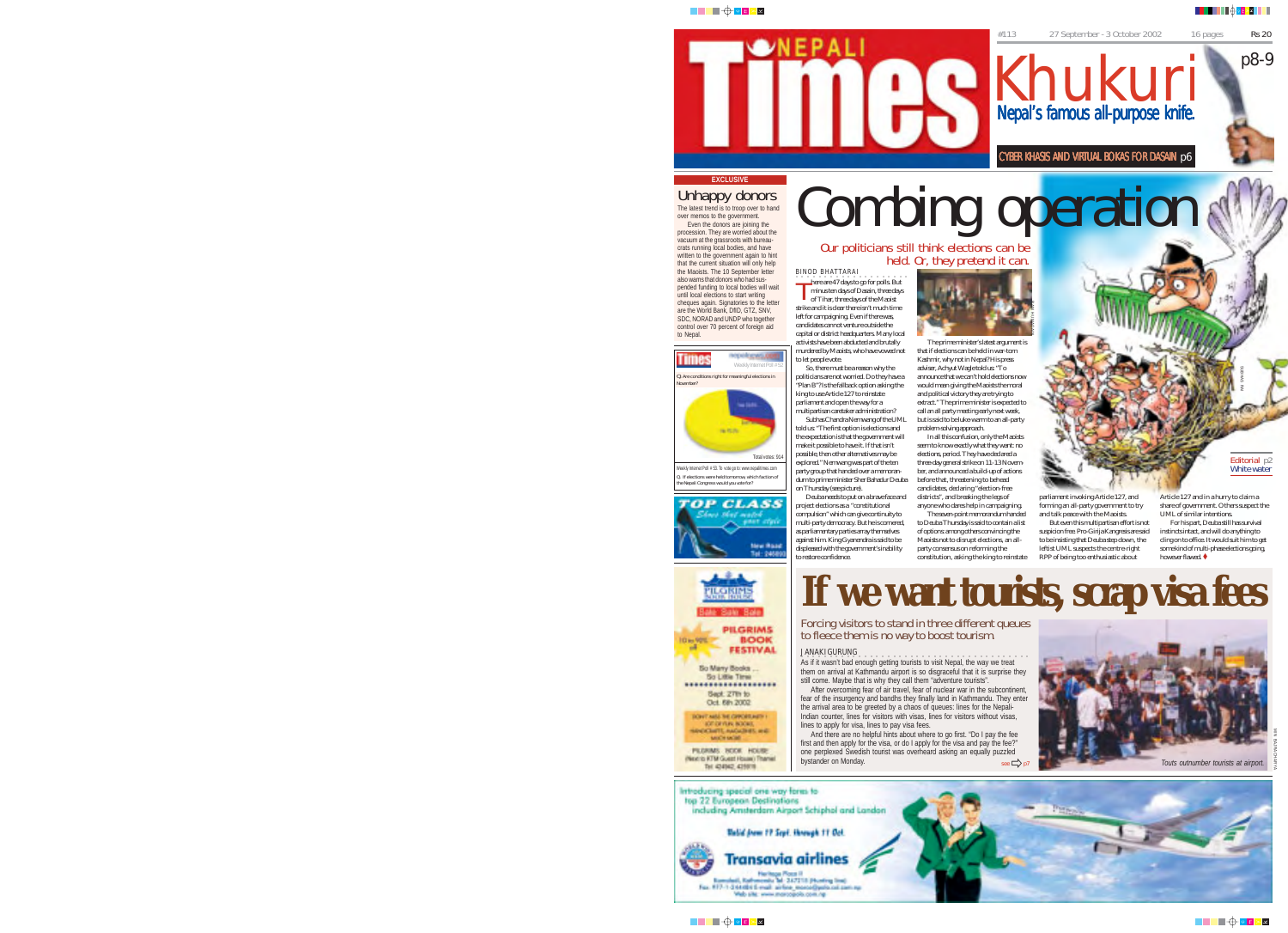#### ▊▊▊▊▊▊▜▏▊<del>░</del>

p8-9

#113 27 September - 3 October 2002 16 pages Rs 20

Khukuri

Nepal's famous all-purpose knife.

CYBER KHASIS AND VIRTUAL BOKAS FOR DASAIN p6

## ███<del></del>⊕<mark>◙▊░</mark>█

Unhappy donors<br>The latest trend is to troop over to hand over memos to the government. Even the donors are joining the procession. They are worried about the vacuum at the grassroots with bureaucrats running local bodies, and have written to the government again to hint that the current situation will only help the Maoists. The 10 September letter also warns that donors who had suspended funding to local bodies will wait until local elections to start writing cheques again. Signatories to the letter are the World Bank, DfID, GTZ, SNV, SDC, NORAD and UNDP who together control over 70 percent of foreign aid

to Nepal.

**EXCLUSIVE**

Time to let people vote. Q. Are conditions right for meaningful elections in November? Total votes: 914 Weekly Internet Poll # 53. To vote go to: www.nepalitimes.com

**TOP CLASS Mary Wise** 

> التأسا PILOISINE State Role **PILGRIMS**

**BOOK** 

FESTIVAL So Mary Books So Little Time \*\*\*\*\*\*\*\*\*\*\*\*\*\*\*\*\*\*\*\* Sept. 27th to Oct. 691 2002 TONY AND THE OPPORTUNITY SPORTER ROOM PERMIT NOW HOUSE (Next to KTM Guest House) Thames THE IDATAS, 425978

**Die 90%** 

n.

BINOD BHATTARAI There are 47 days to go for polls. But<br>minus ten days of Dasain, three days<br>of Tihar, three days of the Manist minus ten days of Dasain, three days of Tihar, three days of the Maoist Combing operation

strike and it is clear there isn't much time left for campaigning. Even if there was, candidates cannot venture outside the capital or district headquarters. Many local activists have been abducted and brutally murdered by Maoists, who have vowed not So, there must be a reason why the

politicians are not worried. Do they have a "Plan B"? Is the fallback option asking the king to use Article 127 to reinstate parliament and open the way for a multipartisan caretaker administration? Subhas Chandra Nemwang of the UML told us: "The first option is elections and the expectation is that the government will make it possible to have it. If that isn't possible, then other alternatives may be explored." Nemwang was part of the ten party group that handed over a memoranwould mean giving the Maoists the moral problem-solving approach. seem to know exactly what they want: no

dum to prime minister Sher Bahadur Deuba Deuba needs to put on a brave face and before that, threatening to behead candidates, declaring "election-free districts", and breaking the legs of

project elections as a "constitutional compulsion" which can give continuity to multi-party democracy. But he is cornered, many party democracy: Barne Beemare against him. King Gyanendra is said to be displeased with the government's inability party consensus on reforming the

The prime minister's latest argument is that if elections can be held in war-torn Kashmir, why not in Nepal? His press adviser, Achyut Wagle told us: "To announce that we can't hold elections now RAM HUMAGAIN

and political victory they are trying to extract." The prime minister is expected to call an all party meeting early next week, but is said to be luke-warm to an all-party In all this confusion, only the Maoists

elections, period. They have declared a three-day general strike on 11-13 November, and announced a build-up of actions

anyone who dares help in campaigning. The seven-point memorandum handed to Deuba Thursday is said to contain a list of options: among others convincing the Maoists not to disrupt elections, an allconstitution, asking the king to reinstate

parliament invoking Article 127, and forming an all-party government to try and talk peace with the Maoists.

But even this multipartisan effort is not suspicion free. Pro-Girija Kangresis are said to be insisting that Deuba step down, the leftist UML suspects the centre-right RPP of being too enthusiastic about

Article 127 and in a hurry to claim a share of government. Others suspect the UML of similar intentions. For his part, Deuba still has survival instincts intact, and will do anything to cling on to office. It would suit him to get some kind of multi-phase elections going,

SUBHAS RAI

Editorial p2 White water

**If we want tourists, Scrap visa fees SCR** however flawed.  $\blacklozenge$ 

JANAKI GURUNG<br>As if it wasn't bad enough getting tourists to visit Nepal, the way we treat them on arrival at Kathmandu airport is so disgraceful that it is surprise they still come. Maybe that is why they call them "adventure tourists".

After overcoming fear of air travel, fear of nuclear war in the subcontinent, fear of the insurgency and bandhs they finally land in Kathmandu. They enter the arrival area to be greeted by a chaos of queues: lines for the Nepali-Indian counter, lines for visitors with visas, lines for visitors without visas, lines to apply for visa, lines to pay visa fees.

And there are no helpful hints about where to go first. "Do I pay the fee first and then apply for the visa, or do I apply for the visa and pay the fee?" one perplexed Swedish tourist was overheard asking an equally puzzled bystander on Monday.  $\mathsf{see} \Rightarrow \mathsf{F}$ 





▐▔▌▊<sup></sup>░▐<mark>▝</mark>▇



MIN BAJRACHARYA

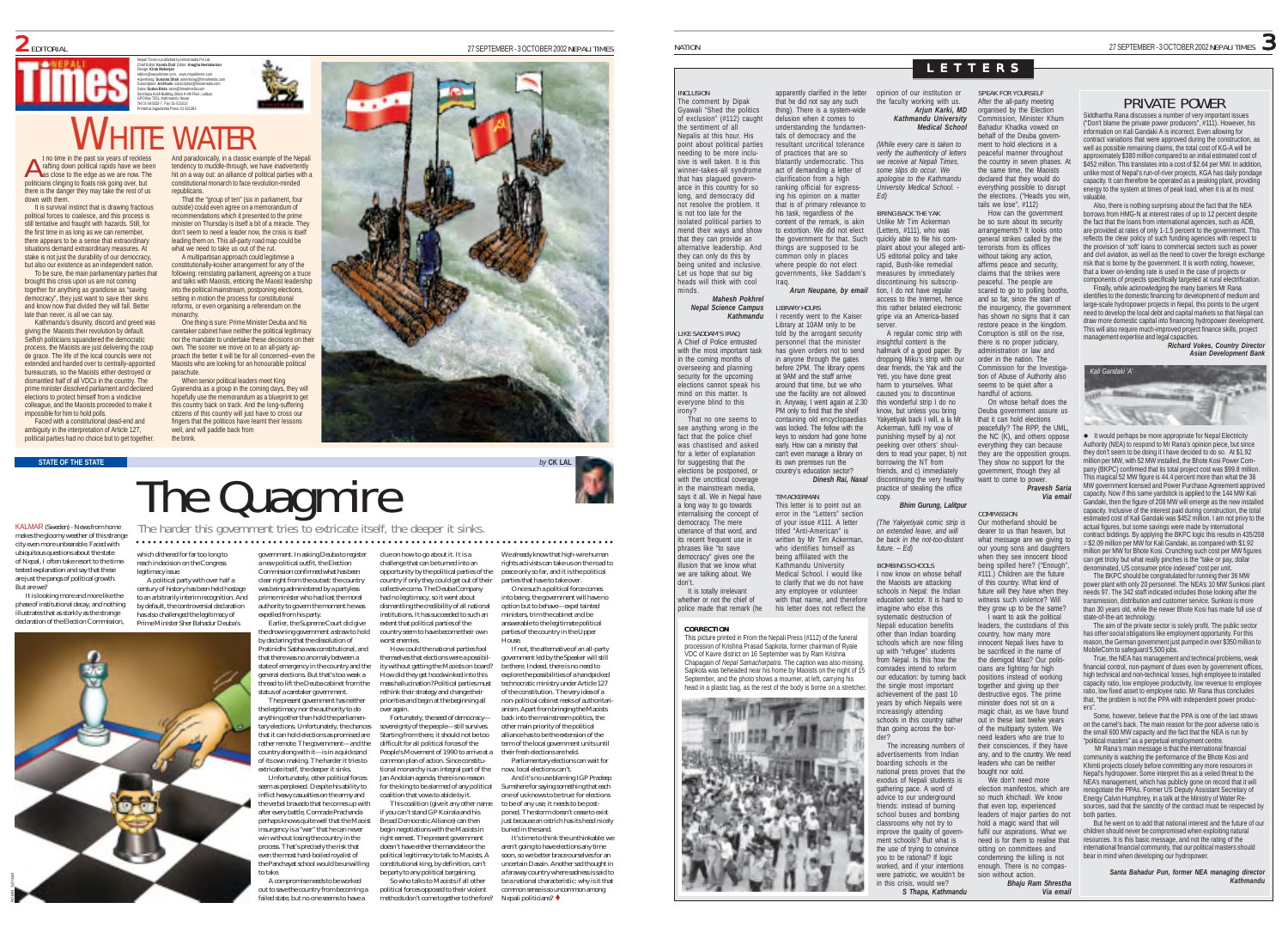

## GPO Box 7251, Kathmandu, Nepal Tel: 01-543333-7, Fax: 01-521013 Printed at Jagadamba Press: 01-521393 WHITE WATER

Nepali Times is published by Himalmedia Pvt Ltd, Chief Editor: **Kunda Dixit** Editor: **Anagha Neelakantan** Design: **Kiran Maharjan** editors@nepalitimes.com, www.nepalitimes.com Advertising: **Sunaina Shah** advertising@himalmedia.com Subscription: **Anil Karki** subscription@himalmedia.com Sales: **Sudan Bista** sales@himalmedia.com Sanchaya Kosh Building, Block A-4th Floor, Lalitpur

t no time in the past six years of reckless rafting down political rapids have we been politicians clinging to floats risk going over, but there is the danger they may take the rest of us down with them.

It is survival instinct that is drawing fractious political forces to coalesce, and this process is still tentative and fraught with hazards. Still, for the first time in as long as we can remember, there appears to be a sense that extraordinary situations demand extraordinary measures. At stake is not just the durability of our democracy, but also our existence as an independent nation.

To be sure, the main parliamentary parties that brought this crisis upon us are not coming together for anything as grandiose as "saving ocracy", they just want to save their skin and know now that divided they will fall. Better late than never, is all we can say.

Kathmandu's disunity, discord and greed was giving the Maoists their revolution by default. Selfish politicians squandered the democratic process, the Maoists are just delivering the coup de grace. The life of the local councils were not extended and handed over to centrally-appointed bureaucrats, so the Maoists either destroyed or dismantled half of all VDCs in the country. The prime minister dissolved parliament and declared elections to protect himself from a vindictive colleague, and the Maoists proceeded to make it impossible for him to hold polls.

Faced with a constitutional dead-end and ambiguity in the interpretation of Article 127, political parties had no choice but to get together.

the to the edge as the edge as the collect as we are now are now are now are now the Nepali tendency to muddle-<br>A as close to the edge as we are now. The through out out an alliance of political parties with a<br>as close to constitutional monarch to face revolution-minded republicans.

That the "group of ten" (six in parliament, four outside) could even agree on a memorandum of recommendations which it presented to the prime minister on Thursday is itself a bit of a miracle. They don't seem to need a leader now, the crisis is itself leading them on. This all-party road map could be what we need to take us out of the rut.

A multipartisan approach could legitimise a constitutionally-kosher arrangement for any of the following: reinstating parliament, agreeing on a truce and talks with Maoists, enticing the Maoist leadership into the political mainstream, postponing elections, setting in motion the process for constitutional reforms, or even organising a referendum on the monarchy.

One thing is sure: Prime Minister Deuba and his caretaker cabinet have neither the political legitimacy nor the mandate to undertake these decisions on their own. The sooner we move on to an all-party approach the better it will be for all concerned--even the Maoists who are looking for an honourable political parachute.

When senior political leaders meet King Gyanendra as a group in the coming days, they will hopefully use the memorandum as a blueprint to get this country back on track. And the long-suffering citizens of this country will just have to cross our fingers that the politicos have learnt their lessons well, and will paddle back from the brink.

# **STATE OF THE STATE** *by* **CK LAL** The Quagmire

KALMAR (Sweden) - News from home makes the gloomy weather of this strange city even more unbearable. Faced with ubiquitous questions about the state of Nepal, I often take resort to the timetested explanation and say that these are just the pangs of political growth. But are we?

It is looking more and more like the phase of institutional decay, and nothing illustrates that as starkly as the strange declaration of the Election Comm



which dithered for far too long to government. In asking Deuba to register The harder this government tries to extricate itself, the deeper it sinks. ○○○○○○○○○○○○○○○○○○○○○○○○○○○○○○○○○○○○○○○○○○○○○○○○○○○○ ○○○○○○○○○○○○○○○○○○○○○○○○○○○○○○○○

reach indecision on the Congress legitimacy issue. A political party with over half a<br>century of history has been held bostage century of history has been held hostage to an arbitrarily interim recognition. And by default, the controversial declaration has also challenged the legitimacy of

a new political outfit, the Election Commission confirmed what has been clear right from the outset: the country was being administered by a partyless was being administered by a partyress authority to govern the moment he was expelled from his party. challenge that can be turned into an country if only they could get out of their collective coma. The Deuba Company had no legitimacy, so it went about dismantling the credibility of all national institutions. It has succeeded to such an

Earlier, the Supreme Court did give the drowning government a straw to hold the drowning government a straw to Pratinidhi Sabha was constitutional, and extent that political parties of the country seem to have become their own worst enemies. How could the national parties fool

state of emergency in the country and the general elections. But that's too weak a thread to lift the Deuba cabinet from the The present government has neither the legitimacy nor the authority to do themselves that elections were a possibility without getting the Maoists on board? How did they get hoodwinked into this mass hallucination? Political parties must rethink their strategy and change their priorities and begin at the beginning all over again.

Fortunately, the seed of democracy sovereignty of the people-still survives. Starting from there, it should not be too difficult for all political forces of the People's Movement of 1990 to arrive at a nmon plan of action. Since constitutional monarchy is an integral part of the Jan Andolan agenda, there is no reason for the king to be alarmed of any political

constitutional king, by definition, can't

inflict heavy casualties on the army and the verbal bravado that he comes up with after every battle, Comrade Prachanda perhaps knows quite well that the Maoist insurgency is a "war" that he can never win without losing the country in the process. That's precisely the risk that coalition that vows to abide by it. This coalition (give it any other name if you can't stand GP Koirala and his Broad Democratic Alliance) can then begin negotiations with the Maoists in right earnest. The present government doesn't have either the mandate or the political legitimacy to talk to Maoists. A

A compromise needs to be worked out to save the country from becoming a failed state, but no one seems to have a be party to any political bargaining. So who talks to Maoists if all other political forces opposed to their violent methods don't come together to the fore?

clue on how to go about it. It is a opportunity by the political parties of the We already know that high-wire human rights activists can take us on the road to peace only so far, and it is the political parties that have to take over.

> Once such a political force comes into being, the government will have no option but to behave—expel tainted ministers, trim the cabinet and be answerable to the legitimate political parties of the country in the Upper

House. If not, the alternative of an all-party government led by the Speaker will still be there. Indeed, there is no need to explore the possibilities of a handpicked technocratic ministry under Article 127 of the constitution. The very idea of a non-political cabinet reeks of authoritarianism. Apart from bringing the Maoists back into the mainstream politics, the other main priority of the political alliance has to be the extension of the term of the local government units until their fresh elections are held.

Parliamentary elections can wait for now, local elections can't. And it's no use blaming IGP Pradeep

Sumshere for saying something that each one of us knows to be true: for elections to be of any use, it needs to be postponed. The storm doesn't cease to exist

just because an ostrich has its head nicely buried in the sand. It's time to think the unthinkable: we

aren't going to have elections any time soon, so we better brace ourselves for an uncertain Dasain. Another sad thought in a faraway country where sadness is said to be a national characteristic: why is it that common sense is so uncommon among Nepali politicians? ·

INCLUSION The comment by Dipak Gyawali "Shed the politics of exclusion" (#112) caught the sentiment of all Nepalis at this hour. His point about political parties needing to be more inclusive is well taken. It is this winner-takes-all syndrome that has plaqued governance in this country for so long, and democracy did not resolve the problem. It is not too late for the isolated political parties to mend their ways and show that they can provide an alternative leadership. And they can only do this by being united and inclusive. Let us hope that our big heads will think with cool minds. *Mahesh Pokhrel Nepal Science Campus Kathmandu* apparently clarified in the letter that he did not say any such thing). There is a system-wide delusion when it comes to understanding the fundamen tals of democracy and the resultant uncritical tolerance of practices that are so blatantly undemocratic. This act of demanding a letter of clarification from a high ranking official for expressing his opinion on a matter that is of primary relevance to his task, regardless of the content of the remark, is akin to extortion. We did not elect the government for that. Such things are supposed to be common only in places where people do not elect governments, like Saddam's Iraq. *Arun Neupane, by email* LIBRARY HOURS I recently went to the Kaiser

LIKE SADDAM'S IRAQ A Chief of Police entrusted with the most important task in the coming months of overseeing and planning security for the upcoming elections cannot speak his mind on this matter. Is everyone blind to this irony? That no one seems to see anything wrong in the fact that the police chief was chastised and asked for a letter of explanation for suggesting that the elections be postponed, or with the uncritical coverage in the mainstream media, says it all. We in Nepal have a long way to go towards internalising the concept of democracy. The mere utterance of that word, and its recent frequent use in phrases like "to save democracy" gives one the Library at 10AM only to be told by the arrogant security personnel that the minister has given orders not to send in anyone through the gates before 2PM. The library opens at 9AM and the staff arrive around that time, but we who use the facility are not allowed in. Anyway, I went again at 2.30 PM only to find that the shelf containing old encyclopaedias was locked. The fellow with the keys to wisdom had gone home early. How can a ministry that can't even manage a library on its own premises run the country's education sector? TIM ACKERMAN This letter is to point out an error in the "Letters" section of your issue #111. A letter titled "Anti-American" is written by Mr Tim Ackerman who identifies himself as being affiliated with the

illusion that we know what we are talking about. We It is totally irrelevant whether or not the chief of police made that remark (he Kathmandu University Medical School. I would like to clarify that we do not have any employee or volunteer with that name, and therefore his letter does not reflect the

#### **CORRECTION**

don't.

This picture printed in From the Nepali Press (#112) of the funeral procession of Krishna Prasad Sapkota, former chairman of Ryale VDC of Kavre district on 16 September was by Ram Krishna Chapagain of *Nepal Samacharpatra*. The caption was also missing. Sapkota was beheaded near his home by Maoists on the night of 15 September, and the photo shows a mourner, at left, carrying his head in a plastic bag, as the rest of the body is borne on a stretcher.



## LETTERS

How can the government be so sure about its security arrangements? It looks onto general strikes called by the terrorists from its offices without taking any action affirms peace and security, claims that the strikes were peaceful. The people are scared to go to polling booths

> *Pravesh Saria Via email*

I want to ask the political

opinion of our institution or the faculty working with us. *Arjun Karki, MD Kathmandu University Medical School (While every care is taken to verify the authenticity of letters* SPEAK FOR YOURSELF After the all-party meeting organised by the Election Commission, Minister Khum Bahadur Khadka vowed on behalf of the Deuba government to hold elections in a peaceful manner throughout

*we receive at Nepali Times, some slips do occur. We apologise to the Kathmandu University Medical School. - Ed)* the country in seven phases. A the same time, the Maoists declared that they would do everything possible to disrupt the elections. ("Heads you win, tails we lose", #112)

BRING BACK THE YAK Unlike Mr Tim Ackerman (Letters, #111), who was quickly able to file his complaint about your alleged anti-US editorial policy and take rapid, Bush-like remedial measures by immediately discontinuing his subscription, I do not have regular

access to the Internet, hence this rather belated electronic gripe via an America-based server. A regular comic strip with insightful content is the hallmark of a good paper. By dropping Miku's strip with our dear friends, the Yak and the and so far, since the start of the insurgency, the government has shown no signs that it can restore peace in the kingdom. Corruption is still on the rise. there is no proper judiciary, administration or law and order in the nation. The Commission for the Investiga-

*Dinesh Rai, Naxal* Yeti, you have done great harm to yourselves. What caused you to discontinue this wonderful strip I do no know, but unless you bring Yakyetiyak back I will, a la Mr Ackerman, fulfil my vow of punishing myself by a) not peeking over others' shoulders to read your paper, b) not borrowing the NT from friends, and c) immediately discontinuing the very healthy tion of Abuse of Authority also seems to be quiet after a handful of actions. On whose behalf does the Deuba government assure us that it can hold elections<br>neacefully? The RPP the LIML peacefully? The RPP, the UML, the NC (K), and others oppose everything they can because they are the opposition groups. They show no support for the government, though they all want to come to power.

practice of stealing the office copy. *Bhim Gurung, Lalitpur* COMPASSION

*(The Yakyetiyak comic strip is on extended leave, and will be back in the not-too-distant future. – Ed)* BOMBING SCHOOLS I now know on whose behalf the Maoists are attacking Our motherland should be dearer to us than heaven, but what message are we giving to our young sons and daughters when they see innocent blood being spilled here? ("Enough", #111.) Children are the future of this country. What kind of

schools in Nepal: the Indian education sector. It is hard to imagine who else this systematic destruction of Nepali education benefits other than Indian boarding future will they have when they witness such violence? Will they grow up to be the same? leaders, the custodians of this country, how many more

schools which are now filling up with "refugee" students from Nepal. Is this how the comrades intend to reform our education: by turning back the single most important achievement of the past 10 years by which Nepalis were increasingly attending schools in this country rather than going across the borinnocent Nepali lives have to be sacrificed in the name of the demigod Mao? Our politicians are fighting for high positions instead of working together and giving up their destructive egos. The prime minister does not sit on a magic chair, as we have found out in these last twelve years of the multinarty system. We

der? The increasing numbers of advertisements from Indian boarding schools in the national press proves that the exodus of Nepali students is athering pace. A word of advice to our underground friends: instead of burning school buses and bombing classrooms why not try to improve the quality of govern ment schools? But what is the use of trying to convince you to be rational? If logic worked, and if your intentions were patriotic, we wouldn't be in this crisis, would we? need leaders who are true to their consciences, if they have any, and to the country. We need leaders who can be neither bought nor sold. We don't need more election manifestos, which are so much *khichadi*. We know that even top, experienced leaders of major parties do no hold a magic wand that will fulfil our aspirations. What we need is for them to realise that sitting on committees and condemning the killing is not enough. There is no compassion without action.

## NATION  $_{\rm 27}$  SEPTEMBER-3 OCTOBER 2002 NEPALI TIMES  $_{\rm 27}$

## PRIVATE POWER

Siddhartha Rana discusses a number of very important issues ("Don't blame the private power producers", #111). However, his information on Kali Gandaki A is incorrect. Even allowing for contract variations that were approved during the construction, as well as possible remaining claims, the total cost of KG-A will be approximately \$380 million compared to an initial estimated cost of \$452 million. This translates into a cost of \$2.64 per MW. In addition, unlike most of Nepal's run-of-river projects, KGA has daily pondage capacity. It can therefore be operated as a peaking plant, providing energy to the system at times of peak load, when it is at its most valuable.

Also, there is nothing surprising about the fact that the NEA borrows from HMG-N at interest rates of up to 12 percent despite the fact that the loans from international agencies, such as ADB, are provided at rates of only 1-1.5 percent to the government. This reflects the clear policy of such funding agencies with respect to the provision of 'soft' loans to commercial sectors such as power and civil aviation, as well as the need to cover the foreign exchange risk that is borne by the government. It is worth noting, however, that a lower on-lending rate is used in the case of projects or components of projects specifically targeted at rural electrification.

Finally, while acknowledging the many barriers Mr Rana

identifies to the domestic financing for development of medium and large-scale hydropower projects in Nepal, this points to the urgent need to develop the local debt and capital markets so that Nepal can draw more domestic capital into financing hydropower development This will also require much-improved project finance skills, project management expertise and legal capacities

*Richard Vokes, Country Director Asian Development Bank*



Authority (NEA) to respond to Mr Rana's opinion piece, but since they don't seem to be doing it I have decided to do so. At \$1.92 million per MW, with 52 MW installed, the Bhote Kosi Power Company (BKPC) confirmed that its total project cost was \$99.8 million. This magical 52 MW figure is 44.4 percent more than what the 36 MW government licensed and Power Purchase Agreement approved capacity. Now if this same yardstick is applied to the 144 MW Kali Gandaki, then the figure of 208 MW will emerge as the new installed capacity. Inclusive of the interest paid during construction, the total estimated cost of Kali Gandaki was \$452 million. I am not privy to the actual figures, but some savings were made by international contract biddings. By applying the BKPC logic this results in 435/208 = \$2.09 million per MW for Kali Gandaki, as compared with \$1.92 million per MW for Bhote Kosi. Crunching such cost per MW figures can get tricky but what really pinches is the "take or pay, dollar

denominated, US consumer price indexed" cost per unit. The BKPC should be congratulated for running their 36 MW power plant with only 20 personnel. The NEA's 10 MW Sunkosi plant needs 97. The 342 staff indicated includes those looking after the transmission, distribution and customer service. Sunkosi is more than 30 years old, while the newer Bhote Kosi has made full use of state-of-the-art technology. The aim of the private sector is solely profit. The public sector

has other social obligations like employment opportunity. For this reason, the German government just pumped in over \$350 million to MobileCom to safeguard 5,500 jobs.

True, the NEA has management and technical problems, weak financial control, non-payment of dues even by government offices, high technical and non-technical losses, high employee to installed capacity ratio, low employee productivity, low revenue to employee ratio, low fixed asset to employee ratio. Mr Rana thus concludes that, "the problem is not the PPA with independent power producers".

Some, however, believe that the PPA is one of the last straws on the camel's back. The main reason for the poor adverse ratio is the small 600 MW capacity and the fact that the NEA is run by "political masters" as a perpetual employment centre.

 Mr Rana's main message is that the international financial community is watching the performance of the Bhote Kosi and Khimti projects closely before committing any more resources in Nepal's hydropower. Some interpret this as a veiled threat to the NEA's management, which has publicly gone on record that it will renogotiate the PPAs. Former US Deputy Assistant Secretary of Energy Calvin Humphrey, in a talk at the Ministry of Water Resources, said that the sanctity of the contract must be respected by both parties.

ut patues.<br>But he went on to add that national interest and the future of our children should never be compromised when exploiting natural resources. It is this basic message, and not the rating of the international financial community, that our political masters should bear in mind when developing our hydropower.

> *Santa Bahadur Pun, former NEA managing director Kathmandu*

*Bhaju Ram Shrestha Via email*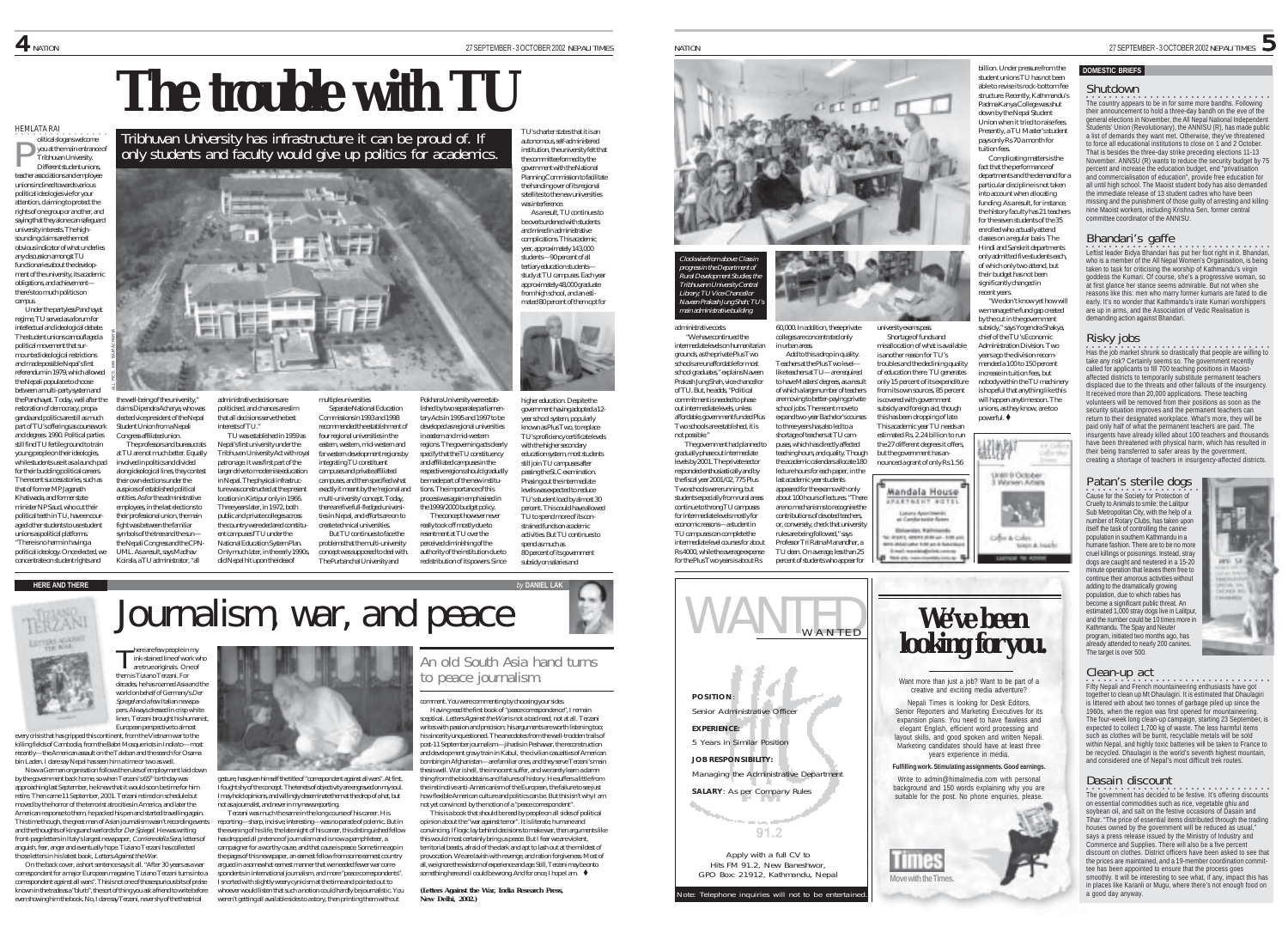TU's charter states that it is an autonomous, self-administered institution, the university felt that the committee formed by the government with the National Planning Commission to facilitate the handing over of its regional satellites to the new universities was interference. As a result, TU continues to be overburdened with students and mired in administrative complications. This academic year, approximately 143,000 students—90 percent of all tertiary education students study at TU campuses. Each year

# **The trouble with TU**

Tribhuvan University has infrastructure it can be proud of. If only students and faculty would give up politics for academics.

 $\equiv$ 

HEMLATA RAI olitical slogans welcome you at the main entrance of Tribhuvan University. P

Different student unions, teacher associations and employee unions inclined towards various political ideologies vie for your attention, claiming to protect the rights of one group or another, and saying that they alone can safeguard university interests. The highsounding claims are the most obvious indicator of what underlies any discussion amongst TUL functionaries about the development of the university, its academic obligations, and achievement there's too much politics on campus.

Under the partyless Panchayat regime, TU served as a forum for intellectual and ideological debate. The student unions camouflaged a political movement that surmounted ideological restrictions and made possible Nepal's first referendum in 1979, which allowed the Nepali populace to choose between a multi-party system and the Panchayat. Today, well after the restoration of democracy, propaganda and politics are still as much part of TU's offerings as coursework and degrees. 1990. Political parties still find TU fertile ground to train young people on their ideologies, while students use it as a launch pad for their budding political careers. The recent success stories, such as that of former MP Jaganath Khatiwada, and former state minister NP Saud, who cut their political teeth in TU, have encouraged other students to use student unions as political platforms. "There is no harm in having a ALL PICS: MIN BAJRACHARYA

political ideology. Once elected, we concentrate on student rights and

the well-being of the university," claims Dipendra Acharya, who was elected vice president of the Nepal Student Union from a Nepali administrative decisions are politicised, and chances are slim that all decisions serve the best interests of TU. I" multiple universities.

Congress-affiliated union. The professors and bureaucrats at TU are not much better. Equally involved in politics and divided along ideological lines, they contest their own elections under the auspices of established political entities. As for the administrative employees, in the last elections to their professional union, the main

There are few people in my<br>ink-stained line of work who<br>are true originals. One of them is Tiziano Terzani. For decades, he has roamed Asia and the world on behalf of Germany's Der Spiegel and a few Italian newspapers. Always dressed in crisp white linen, Terzani brought his humanist, European perspective to almost

every crisis that has gripped this continent, from the Vietnam war to the killing fields of Cambodia, from the Babri Mosque riots in India to-most recently—the American assault on the Taleban and the search for Osama bin Laden. I dare say Nepal has seen him a time or two as well. Now a German organisation follows the rules of employment laid down by the government back home, so when Terzani's 65<sup>th</sup> birthday was approaching last September, he knew that it would soon be time for him retire. Then came 11 September, 2001. Terzani retired on schedule but moved by the horror of the terrorist atrocities in America, and later the American response to them, he packed his pen and started travelling again. This time though, the great man of Asian journalism wasn't recording events and the thoughts of kings and warlords for Der Spiegel. He was writing front-page letters in Italy's largest newspaper, *Corriere della Sera*, letters of<br>anguish, fear, anger and eventually hope. Tiziano Terzani has collected those letters in his latest book, Letters Against the War. On the back cover, a short sentence says it all. "After 30 years as a war correspondent for a major European magazine, Tiziano Terzani turns into a correspondent against all wars". This is not one of those spurious bits of praise known in the trade as a "blurb", the sort of thing you ask a friend to write before even showing him the book. No, I dare say Terzani, never shy of the theatrical

fight was between the familiar symbols of the tree and the sun the Nepali Congress and the CPN-UML. As a result, says Madhav Koirala, a TU administrator, "all location in Kirtipur only in 1966. Three years later, in 1972, both public and private colleges across the country were declared constituent campuses f TU under the National Education System Plan. Only much later, in the early 1990s did Nepal hit upon the idea of

TU was established in 1959 as Nepal's first university under the Tribhuvan University Act with royal patronage. It was first part of the larger drive to modernise education in Nepal. The physical infrastructure was constructed at the present

gesture, has given himself the title of "correspondent against all wars". At first, I fought shy of the concept. The tenets of objectivity are engraved on my soul. I may hold opinions, and willingly disseminate them at the drop of a hat, but not as a journalist, and never in my news reporting. Terzani was much the same in the long course of his career. His reporting—sharp, incisive, interesting—was no parade of polemic. But in the evening of his life, the late night of his career, this distinguished fellow has dropped all pretence of journalism and is now a pamphleteer, a campaigner for a worthy cause, and that cause is peace. Some time ago in the pages of this newspaper, an earnest fellow from some earnest country argued in a somewhat earnest manner that we needed fewer war correspondents in international journalism, and more "peace correspondents" I snorted with slightly weary cynicism at the time and pointed out to whoever would listen that such a notion could hardly be journalistic. You weren't getting all available sides to a story, then printing them without

Separate National Education Commissions in 1993 and 1998 recommended the establishment of four regional universities in the eastern, western, mid-western and far western development regions by integrating TU constituent campuses and private affiliated campuses, and then specified what exactly it meant by the 'regional and multi-university' concept. Today, there are five full-fledged universities in Nepal, and efforts are on to create technical universities. But TU continues to face the

problems that the multi-university

Pokhara University were established by two separate parliamentary Acts in 1995 and 1997 to be developed as regional universities in eastern and mid-western regions. The governing acts clearly specify that the TU constituency and affiliated campuses in the respective regions should gradually be made part of the new institutions. The importance of this process was again emphasised in the 1999/2000 budget policy. The concept however never really took off mostly due to resentment at TU over the perceived diminishing of the

authority of the institution due to redistribution of its powers. Since

spend as much as

approximately 48,000 graduate from high school, and an estimated 80 percent of them opt for

higher education. Despite the government having adopted a 12year school system, popularly known as Plus Two, to replace TU's proficiency certificate levels with the higher secondary education system, most students still join TU campuses after passing the SLC examination. Phasing out the intermediate levels was expected to reduce TU's student load by almost 30 percent. This could have allowed TU to spend more of its constrained funds on academic activities. But TU continues to 80 percent of its government subsidy on salaries and



Clockwise from above: Class in progress in the Department of Rural Development Studies; the Tribhuvann University Central Library; TU Vice-Chancellor n o vice-chancemor<br>Prakash Jung Shah; TU nain administrative bu

60,000. In addition, these private

the academic calendars allocate 180



**POSITION**: Senior Administrative Office **EXPERIENCE:** 5 Years in Similar Position **JOB RESPONSIBILITY:** Managing the Administrative Department **SALARY**: As per Company Rules  $91.2$ Apply with a full CV to

lote: Telephone inquiries will not to be entertained Hits FM 91.2, New Baneshwor, GPO Box: 21912, Kathmandu, Nepal

•<br>The country appears to be in for some more bandhs. Following

**.**<br>Leftist leader Bidya Bhandari has put her foot right in it. Bhandari,

who is a member of the All Nepal Women's Organisation, is being taken to task for criticising the worship of Kathmandu's virgin goddess the Kumari. Of course, she's a progressive woman, so at first glance her stance seems admirable. But not when she reasons like this: men who marry former kumaris are fated to die early. It's no wonder that Kathmandu's irate Kumari worshippers are up in arms, and the Association of Vedic Realisation is demanding action against Bhandari.

○○○○○○○○○○○○○○○○○○○○○○○○○○○○○○○○ Has the job market shrunk so drastically that people are willing to

take any risk? Certainly seems so. The government recently called for applicants to fill 700 teaching positions in Maoistaffected districts to temporarily substitute permanent teachers displaced due to the threats and other fallouts of the insurgency. It received more than 20,000 applications. These teaching volunteers will be removed from their positions as soon as the security situation improves and the permanent teachers can return to their designated workplace. What's more, they will be paid only half of what the permanent teachers are paid. The insurgents have already killed about 100 teachers and thousands have been threatened with physical harm, which has resulted in their being transferred to safer areas by the government, creating a shortage of teachers in insurgency-affected districts.

their announcement to hold a three-day bandh on the eve of the general elections in November, the All Nepal National Independent Students' Union (Revolutionary), the ANNISU (R), has made public a list of demands they want met. Otherwise, they've threatened to force all educational institutions to close on 1 and 2 October. That is besides the three-day strike preceding elections 11-13 November. ANNSU (R) wants to reduce the security budget by 75 percent and increase the education budget, end "privatisation and commercialisation of education", provide free education for all until high school. The Maoist student body has also demanded the immediate release of 13 student cadres who have been missing and the punishment of those guilty of arresting and killing nine Maoist workers, including Krishna Sen, former central committee coordinator of the ANNISU.

Shutdown

**DOMESTIC BRIEFS**

Bhandari's gaffe

Risky jobs

#### billion. Under pressure from the student unions TU has not been able to revise its rock-bottom fee structure. Recently, Kathmandu's Padma Kanya College was shut down by the Nepal Student Union when it tried to raise fees. Presently, a TU Master's student pays only Rs 70 a month for tuition fees.

Complicating matters is the fact that the nerformance of departments and the demand for a particular discipline is not taken into account when allocating funding. As a result, for instance, the history faculty has 21 teachers for the seven students of the 35 enrolled who actually attend classes on a regular basis. The Hindi and Sanskrit departments only admitted five students each, of which only two attend, but their budget has not been significantly changed in recent years.

"We don't know yet how will

Shortage of funds and misallocation of what is available is another reason for TU's troubles and the declining quality of education there. TU generates only 15 percent of its expenditure from its own sources, 85 percent is covered with government subsidy and foreign aid, though this has been dropping of late. This academic year TU needs an estimated Rs. 2.24 billion to run we manage the fund gap created by the cut in the government subsidy," says Yogendra Shakya, chief of the TU's Economic Administration Division. Two years ago the division recommended a 100 to 150 percent increase in tuition fees, but nobody within the TU machinery is hopeful that anything like this will happen anytime soon. The unions, as they know, are too powerful.  $\blacklozenge$ 

university exams pass.

but the government has an-

Mandala House **ELETATET BOTEL** 

**Move with the Times.**

the 27 different degrees it offers, nounced a grant of only Rs 1.56



Want more than just a job? Want to be part of a creative and exciting media adventure? Nepali Times is looking for Desk Editors, Senior Reporters and Marketing Executives for its expansion plans. You need to have flawless and elegant English, efficient word processing and ayout skills, and good spoken and written Nepali Marketing candidates should have at least three years experience in media. **Fulfilling work. Stimulating assignments. Good earnings.** Write to admin@himalmedia.com with personal background and 150 words explaining why you are suitable for the post. No phone enquiries, please.

**Cause for the Society for Protection of** Patan's sterile dogs Cruelty to Animals to smile: the Lalitpur Sub Metropolitan City, with the help of a number of Rotary Clubs, has taken upon itself the task of controlling the canine population in southern Kathmandu in a humane fashion. There are to be no more cruel killings or poisonings. Instead, stray dogs are caught and neutered in a 15-20 minute operation that leaves them free to continue their amorous activities without adding to the dramatically growing population, due to which rabies has become a significant public threat. An estimated 1,000 stray dogs live in Lalitpur and the number could be 10 times more in Kathmandu. The Spay and Neuter program, initiated two months ago, has already attended to nearly 200 canines. The target is over 500.



## Clean-up act

.<br>Fifty Nepali and French mountaineering enthusiasts have got together to clean up Mt Dhaulagiri. It is estimated that Dhaulagiri is littered with about two tonnes of garbage piled up since the 1960s, when the region was first opened for mountaineering. The four-week long clean-up campaign, starting 23 September, is expected to collect 1,700 kg of waste. The less harmful items such as clothes will be burnt, recyclable metals will be sold within Nepal, and highly toxic batteries will be taken to France to be recycled. Dhaulagiri is the world's seventh highest mountain, and considered one of Nepal's most difficult trek routes.

#### Dasain discount

•<br>The government has decided to be festive. It's offering discounts on essential commodities such as rice, vegetable ghiu and soybean oil, and salt on the festive occasions of Dasain and Tihar. "The price of essential items distributed through the trading houses owned by the government will be reduced as usual," says a press release issued by the Ministry of Industry and Commerce and Supplies. There will also be a five percent discount on clothes. District officers have been asked to see that the prices are maintained, and a 19-member coordination committee has been appointed to ensure that the process goes smoothly. It will be interesting to see what, if any, impact this has in places like Karanli or Mugu, where there's not enough food on a good day anyway.

**HERE** *by Durnalism*, war, and peace concept was supposed to deal with. The Purbanchal University and

to peace journalism.

comment. You were commenting by choosing your sides. Having read the first book of "peace correspondence", I remain sceptical. Letters Against the War is not a bad read, not at all. Terzani writes with passion and precision; his arguments are worth listening too; his sincerity unquestioned. The anecdotes from the well-trodden trails of post-11 September journalism—jihadis in Peshawar, the reconstruction and development gravy train in Kabul, the civilian casualties of American bombing in Afghanistan—are familiar ones, and they serve Terzani's main thesis well. War is hell, the innocent suffer, and we rarely learn a damn thing from the bloodstains and failures of history. He suffers a little from the instinctive anti-Americanism of the European, the failure to see just how flexible American culture and politics can be. But this isn't why I am

This is a book that should be read by people on all sides of political opinion about the "war against terror". It is literate, humane and convincing. If logic lay behind decisions to make war, then arguments like this would most certainly bring us peace. But I fear we are violent, territorial beasts, afraid of the dark and apt to lash out at the mildest of provocation. We are lavish with revenge, and ration forgiveness. Most of all, we ignore the wisdom of experience and age. Still, Terzani may be onto

*New Delhi, 2002.)*

An old South Asia hand turns

not yet convinced by the notion of a "peace correspondent".

*(Letters Against the War, India Research Press,*

something here and I could be wrong. And for once, I hope I am.  $\quad \blacklozenge$ 

administrative costs.

Prakash Jung Shah, vice-chancellor of TU. But, he adds, "Political commitment is needed to phase out intermediate levels, unless affordable, government funded Plus Two schools are established, it is not possible." The government had planned to gradually phase out intermediate

levels by 2001. The private sector responded enthusiastically and by the fiscal year 2001/02, 775 Plus Two schools were running, but students especially from rural areas continue to throng TU campuses for intermediate levels mostly for economic reasons—a student in TU campuses can complete the intermediate level courses for about Rs 4000, while the average expense

for the Plus Two years is about Rs lecture hours for each paper, in the last academic year students appeared for the exams with only about 100 hours of lectures. "Then are no mechanisms to recognise the



to three years has also led to a shortage of teachers at TU campuses, which has directly affected teaching hours, and quality. Though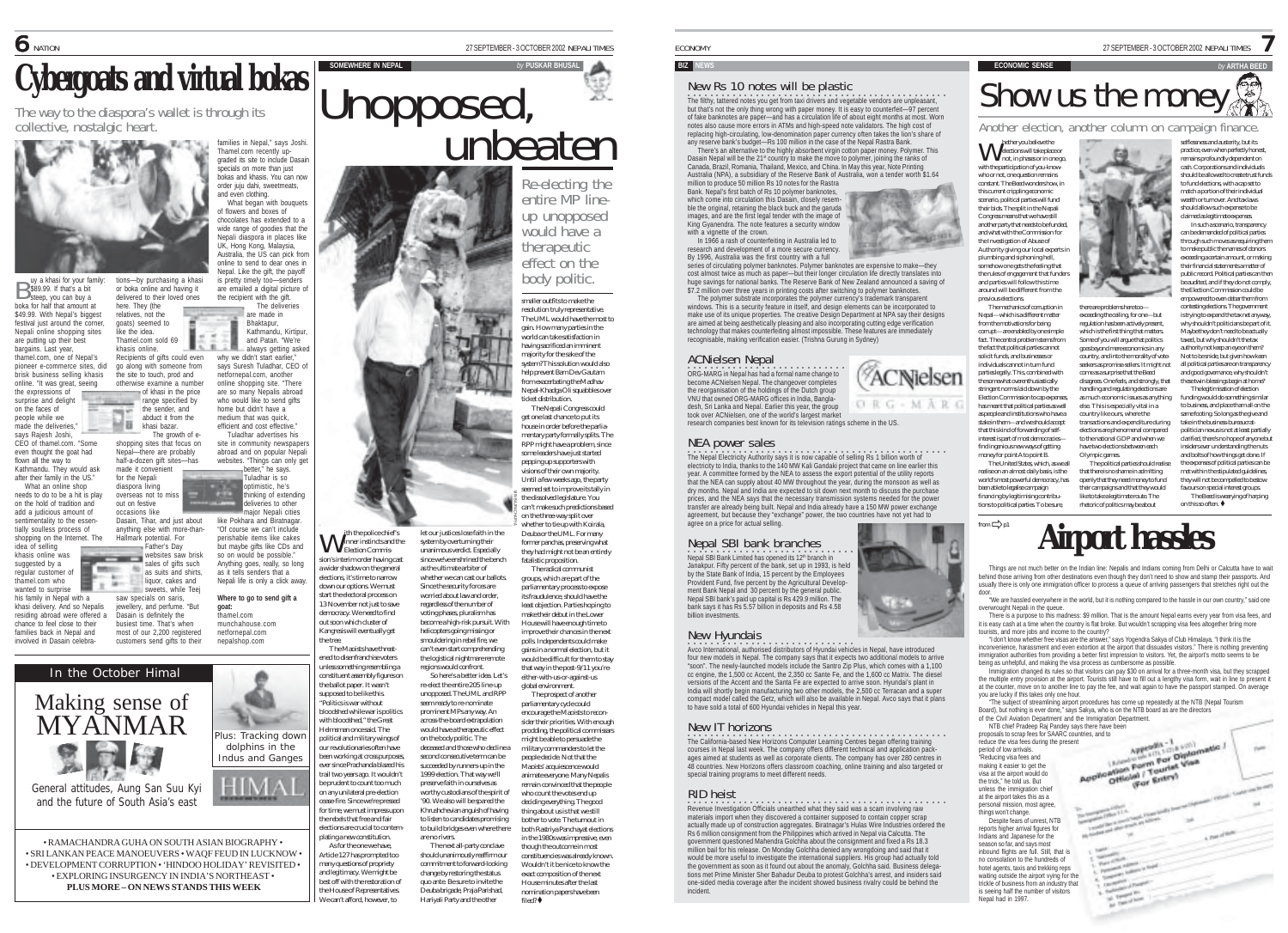**SOMEWHERE IN NEPAL** *by* **PUSKAR BHUSAL**

Unopposed,

Re-electing the<br>entire MP lineup unopposed would have a therapeutic<br>effect on the body politic.

unbeaten

smaller outfits to make the resolution truly representative.

## New Rs 10 notes will be plastic

• •<br>The filthy, tattered notes you get from taxi drivers and vegetable vendors are unpleasant, but that's not the only thing wrong with paper money. It is easy to counterfeit—97 percent of fake banknotes are paper—and has a circulation life of about eight months at most. Worn notes also cause more errors in ATMs and high-speed note validators. The high cost of replacing high-circulating, low-denomination paper currency often takes the lion's share of any reserve bank's budget—Rs 100 million in the case of the Nepal Rastra Bank.

There's an alternative to the highly absorbent virgin cotton paper money. Polymer. This Dasain Nepal will be the 21<sup>st</sup> country to make the move to polymer, joining the ranks of Canada, Brazil, Romania, Thailand, Mexico, and China. In May this year, Note Printing Australia (NPA), a subsidiary of the Reserve Bank of Australia, won a tender worth \$1.64

million to produce 50 million Rs 10 notes for the Rastra Bank. Nepal's first batch of Rs 10 polymer banknotes, which come into circulation this Dasain, closely resemble the original, retaining the black buck and the garuda images, and are the first legal tender with the image of King Gyanendra. The note features a security window with a vignette of the crown.

In 1966 a rash of counterfeiting in Australia led to research and development of a more secure currency. By 1996, Australia was the first country with a full

series of circulating polymer banknotes. Polymer banknotes are expensive to make—they cost almost twice as much as paper—but their longer circulation life directly translates into huge savings for national banks. The Reserve Bank of New Zealand announced a saving of \$7.2 million over three years in printing costs after switching to polymer banknotes. The polymer substrate incorporates the polymer currency's trademark transparent

windows. This is a security feature in itself, and design elements can be incorporated to make use of its unique properties. The creative Design Department at NPA say their designs are aimed at being aesthetically pleasing and also incorporating cutting edge verification technology that makes counterfeiting almost impossible. These features are immediately recognisable, making verification easier. (Trishna Gurung in Sydney)

ORG-MARO

### ACNielsen Nepal

○○○○○○○○○○○○○○○○○○ ○○○○○○○○○○ ORG-MARG in Nepal has had a formal name change to become ACNielsen Nepal. The changeover completes the reorganisation of the holdings of the Dutch group VNU that owned ORG-MARG offices in India, Bangladesh, Sri Lanka and Nepal. Earlier this year, the group took over ACNielsen, one of the world's largest market research companies best known for its television ratings scheme in the US.

#### NEA power sales

**The Nepal Electricity Authority says it is now capable of selling Rs 1 billion worth of** electricity to India, thanks to the 140 MW Kali Gandaki project that came on line earlier this year. A committee formed by the NEA to assess the export potential of the utility reports year. A committee formed by the NEA to assess the export potential of the duity reports<br>that the NEA can supply about 40 MW throughout the year, during the monsoon as well as dry months. Nepal and India are expected to sit down next month to discuss the purchase prices, and the NEA says that the necessary transmission systems needed for the power transfer are already being built. Nepal and India already have a 150 MW power exchange agreement, but because they "exchange" power, the two countries have not yet had to agree on a price for actual selling.

○○○○○○○○○○○○○○○○○○○○ ○○○○○○○○○ Nepal SBI Bank Limited has opened its 12th branch in Nepal SBI bank branches Janakpur. Fifty percent of the bank, set up in 1993, is held by the State Bank of India, 15 percent by the Employees Provident Fund, five percent by the Agricultural Development Bank Nepal and 30 percent by the general public. Nepal SBI bank's paid up capital is Rs 429.9 million. The bank says it has Rs 5.57 billion in deposits and Rs 4.58 billion investments.

#### New Hyundais

**·**<br>Avco International, authorised distributors of Hyundai vehicles in Nepal, have introduced four new models in Nepal. The company says that it expects two additional models to arrive "soon". The newly-launched models include the Santro Zip Plus, which comes with a 1,100 cc engine, the 1,500 cc Accent, the 2,350 cc Sante Fe, and the 1,600 cc Matrix. The diesel ons of the Accent and the Santa Fe are expected to arrive soon. Hyundai's plant in India will shortly begin manufacturing two other models, the 2,500 cc Terracan and a super compact model called the Getz, which will also be available in Nepal. Avco says that it plans to have sold a total of 600 Hyundai vehicles in Nepal this year.

#### New IT horizons

<u>.</u><br>○ California-based New Horizons Computer Learning Centres began offering training<br>courses in Nepal last week. The company offers different technical and application packages aimed at students as well as corporate clients. The company has over 280 centres in 48 countries. New Horizons offers classroom coaching, online training and also targeted or special training programs to meet different needs.

#### RID heist

○○○○ ○○○○○○○○○○○○○○○○○○○○○○○○○○○○○○○○○○○○○○○○○○ Revenue Investigation Officials unearthed what they said was a scam involving raw materials import when they discovered a container supposed to contain copper scrap actually made up of construction aggregates. Biratnagar's Hulas Wire Industries ordered the Rs 6 million consignment from the Philippines which arrived in Nepal via Calcutta. The government questioned Mahendra Golchha about the consignment and fixed a Rs 18.3 million bail for his release. On Monday Golchha denied any wrongdoing and said that it would be more useful to investigate the international suppliers. His group had actually told the government as soon as it found out about the anomaly, Golchha said. Business delegations met Prime Minister Sher Bahadur Deuba to protest Golchha's arrest, and insiders said one-sided media coverage after the incident showed business rivalry could be behind the incident.

ECONOMY 27 SEPTEMBER - 3 OCTOBER 2002 NEPALI TIMES

# **BIZ NEWS ECONOMIC SENSE** *by* **ARTHA BEED** Show us the money

Another election, another column on campaign finance.

there are problems here too exceeding the ceiling, for one—but

which is the first thing that matters. Some of you will argue that politics goes beyond mere economics in any

come as a surprise that the Beed

else. This is especially vital in a country like ours, where the transactions and expenditure during elections are phenomenal compared to the national GDP and when we

Olympic games.

hether you believe the elections will take place or not, in phases or in one go, W with the participation of you-knowwho or not, one question remains constant. The Beed wonders how, in this current crippling economic scenario, political parties will fund their bids. The split in the Nepali Congress means that we have still another party that needs to be funded, and what with the Commission for the Investigation of Abuse of Authority giving our local experts in plumbing and siphoning hell, somehow one gets the feeling that the rules of engagement that funders and parties will follow this time around will be different from the previous elections. The mechanics of corruption in Nepal—which is a different matter from the motivations for being corrupt—are enabled by one simple fact. The central problem stems from the fact that political parties cannot solicit funds, and businesses or individuals cannot in turn fund parties legally. This, combined with the somewhat overenthusiastically stringent norms laid down by the Election Commission to cap expense has meant that political parties as well as people and institutions who have a stake in them—and we should accept that this kind of forwarding of selfinterest is part of most democracies find ingenious new ways of getting money for point A to point B. The United States, which, as we all realise on an almost daily basis, is the world's most powerful democracy, has been able to legalise campaign financing by legitimising contributions to political parties. To be sure,

selflessness and austerity, but its practice, even when perfectly honest, remains profoundly dependent on cash. Corporations and individuals should be allowed to create trust funds to fund elections, with a cap set to match a portion of their individual wealth or turnover. And tax laws should allow such expense to be claimed as legitimate expenses. In such a scenario, transparency

7

can be demanded of political parties through such moves as requiring them to make public the names of donors exceeding a certain amount, or making their financial statements a matter of public record. Political parties can then be audited, and if they do not comply, the Election Commission could be empowered to even debar them from contesting elections. The government

regulation has been actively present, country, and into the morality of voteseekers as promise-sellers. It might not disagrees. One feels, and strongly, that handling and regulating elections are as much economic issues as anything is trying to expand the tax net anyway, why shouldn't politicians be part of it. Maybe they don't need to be actually taxed, but why shouldn't the tax authority not keep an eye on them? Not to be snide, but given how keen all political parties are on transparency and good governance, why shouldn't these twin blessings begin at home? The legitimisation of election funding would do something similar

to business, and place tham all on the same footing. So long as the give and take in the business-bureaucratpolitician nexus is not at least partially clarified, there's no hope of anyone but

have two elections between each The political parties should realise that there is no shame in admitting openly that they need money to fund insiders ever understanding the nuts and bolts of how things get done. If the expenses of political parties can be met within the stipulated guidelines, they will not be compelled to bestow favours on special interest groups.

their campaigns and that they would like to take a legitimate route. The rhetoric of politics may be about The Beed is wearying of harping on this so often.  $\blacklozenge$ **Airport hassles** 

Things are not much better on the Indian line: Nepalis and Indians coming from Delhi or Calcutta have to wait behind those arriving from other destinations even though they don't need to show and stamp their passports. And<br>usually there is only one immigration officer to process a queue of arriving passengers that stretches right door.

"We are hassled everywhere in the world, but it is nothing compared to the hassle in our own country," said one overwrought Nepali in the queue.

There is a purpose to this madness: \$9 million. That is the amount Nepal earns every year from visa fees, and it is easy cash at a time when the country is flat broke. But wouldn't scrapping visa fees altogether bring more tourists, and more jobs and income to the country?

"I don't know whether free visas are the answer," says Yogendra Sakya of Club Himalaya. "I think it is the inconvenience, harassment and even extortion at the airport that dissuades visitors." There is nothing preventing immigration authorities from providing a better first impression to visitors. Yet, the airport's motto seems to be being as unhelpful, and making the visa process as cumbersome as possible.

Immigration changed its rules so that visitors can pay \$30 on arrival for a three-month visa, but they scrapped the multiple entry provision at the airport. Tourists still have to fill out a lengthy visa form, wait in line to present it at the counter, move on to another line to pay the fee, and wait again to have the passport stamped. On average you are lucky if this takes only one hour.

(For Entry)

"The subject of streamlining airport procedures has come up repeatedly at the NTB (Nepal Tourism Board), but nothing is ever done," says Sakya, who is on the NTB board as are the directors of the Civil Aviation Department and the Immigration Department.

NTB chief Pradeep Raj Pandey says there have been Avenue Smith

proposals to scrap fees for SAARC countries, and to<br>reduce the visible estimates of the proposal of one annotation<br>product process each of the second process of the second process of the second<br>material is calculated to th reduce the visa fees during the present period of low arrivals. "Reducing visa fees and making it easier to get the visa at the airport would do the trick," he told us. But unless the immigration chief

at the airport takes this as a

from  $\Rightarrow$  p1

Nepal had in 1997.

personal mission, most agree, things won't change. Despite fears of unrest, NTB reports higher arrival figures for Indians and Japanese for the season so far, and says most inbound flights are full. Still, that is no consolation to the hundreds of hotel agents, taxis and trekking reps waiting outside the airport vying for the trickle of business from an industry that is seeing half the number of visitors

**Cybergoats and virtual bokas**

here. They (the relatives, not the goats) seemed to like the idea. Thamel.com sold 69 khasis online.

khasi bazar.

for the Nepali diaspora living

out on festive occasions like

 $B$  uy a khasi for your family:<br> $B$  \$89.99. If that's a bit<br>steep, you can buy a steep, you can buy a boka for half that amount at \$49.99. With Nepal's biggest festival just around the corner Nepali online shopping sites are putting up their best bargains. Last year, thamel.com, one of Nepal's pioneer e-commerce sites, did brisk business selling khasis online. "It was great, seeing the expressions of surprise and delight on the faces of people while we made the deliveries. says Rajesh Joshi, CEO of thamel.com. "Some even thought the goat had flown all the way to Kathmandu. They would ask after their family in the US." What an online shop needs to do to be a hit is play on the hold of tradition and add a judicious amount of sentimentality to the essentially soulless process of shopping on the Internet. The idea of selling khasis online was suggested by a regular customer of thamel.com who wanted to surprise his family in Nepal with a khasi delivery. And so Nepalis residing abroad were offered a chance to feel close to their families back in Nepal and involved in Dasain celebra-

tions—by purchasing a khasi or boka online and having it delivered to their loved ones

Recipients of gifts could even

the site to touch, prod and otherwise examine a number of khasi in the price range specified by the sender, and abduct it from the The growth of e- Families in Nepal, the space of the space of the space of the space of the space of the space of the space of the space of the space of the space of the space of the space of the space of the space of the space of the spac

made it convenient overseas not to miss Dasain, Tihar, and just about anything else with more-than-

Hallmark potential. For Father's Day websites saw brisk<br>sales of gifts such

Dasain is definitely the busiest time. That's when most of our 2,200 registered<br>customers send gifts to their



• RAMACHANDRA GUHA ON SOUTH ASIAN BIOGRAPHY • • SRI LANKAN PEACE MANOEUVERS • WAQF FEUD IN LUCKNOW • • DEVELOPMENT CORRUPTION • 'HINDOO HOLIDAY' REVISITED • • EXPLORING INSURGENCY IN INDIA'S NORTHEAST • **PLUS MORE – ON NEWS STANDS THIS WEEK**

The way to the diaspora's wallet is through its collective, nostalgic heart.

go along with someone from

shopping sites that focus on Nepal—there are probably half-a-dozen gift sites—has

as suits and shirts. liquor, cakes and sweets, while Teej saw specials on saris jewellery, and perfume. "But

unless something resembling a constituent assembly figures on Plus: Tracking down dolphins in the Indus and Ganges

the ballot paper. It wasn't supposed to be like this. "Politics is war without bloodshed while war is politics with bloodshed," the Great Helmsman once said. The political and military wings of our revolutionaries often have been working at cross purposes, ever since Prachanda blazed his

**W** ith the police chief's<br>Flection Commission's interim order having cast a wider shadow on the general elections, it's time to narrow down our options. We must start the electoral process on 13 November not just to save democracy. We need to find out soon which cluster of Kangresis will eventually get the tree. The Maoists have threatened to disenfranchise voters

trail two years ago. It wouldn't be prudent to count too much on any unilateral pre-election cease-fire. Since we're pressed for time, we must impress upon the rebels that free and fair elections are crucial to contemplating a new constitution. As for the one we have

Article 127 has prompted too many questions of propriety and legitimacy. We might be best off with the restoration of the House of Representatives. We can't afford, however, to The next all-party conclave should unanimously reaffirm our commitment to forward-looking change by restoring the status quo ante. Be sure to invite the Deuba brigade, Praja Parishad, Hariyali Party and the other



Since the security forces are worried about law and order, regardless of the number of voting phases, pluralism has

helicopters going missing or smouldering in rebel fire, we

regions would confront.

on the body politic. The

are no rivers.

let our justices lose faith in the system by overturning their unanimous verdict. Especially since we've enshrined the bench as the ultimate arbiter of on the three-way split over whether to tie up with Koirala, MIN BAJRACHARYA

whether we can cast our ballots. become a high-risk pursuit. With can't even start comprehending the logistical nightmare remote

re-elect the entire 205 line-up unopposed. The UML and RPP seem ready to re-nominate prominent MPs any way. An across-the-board extrapolation would have a therapeutic effect deceased and those who decline a second consecutive term can be succeeded by runners-up in the 1999 election. That way we'll preserve faith in ourselves as worthy custodians of the spirit of '90. We also will be spared the Khrushchevian anguish of having global environment. parliamentary cycle could sider their priorities. With enough thing about us is that we still bother to vote. The turnout in

both Rastriya Panchayat elections in the 1980s was impressive, even though the outcome in most constituencies was already known. Wouldn't it be nice to know the exact composition of the next House minutes after the last nomination papers have been filed?  $\triangle$ 

Deuba or the UML. For many former nanchas, preserving what they had might not be an entirely fatalistic proposition. The radical communist groups, which are part of the that way in the post-9/11 you'reeither-with-us-or-against-us The prospect of another

parliamentary process to expose its fraudulence, should have the least objection. Parties hoping to make their debut in the Lower House will have enough time to improve their chances in the next polls. Independents could make gains in a normal election, but it would be difficult for them to stay

can't make such predictions based

So here's a better idea. Let's encourage the Maoists to recon-

> prodding, the political commissars might be able to persuade the military commanders to let the people decide. Not that the Maoists' acquiescence would animate everyone. Many Nepalis remain convinced that the people who count the votes end up deciding everything. The good

to listen to candidates promising to build bridges even where there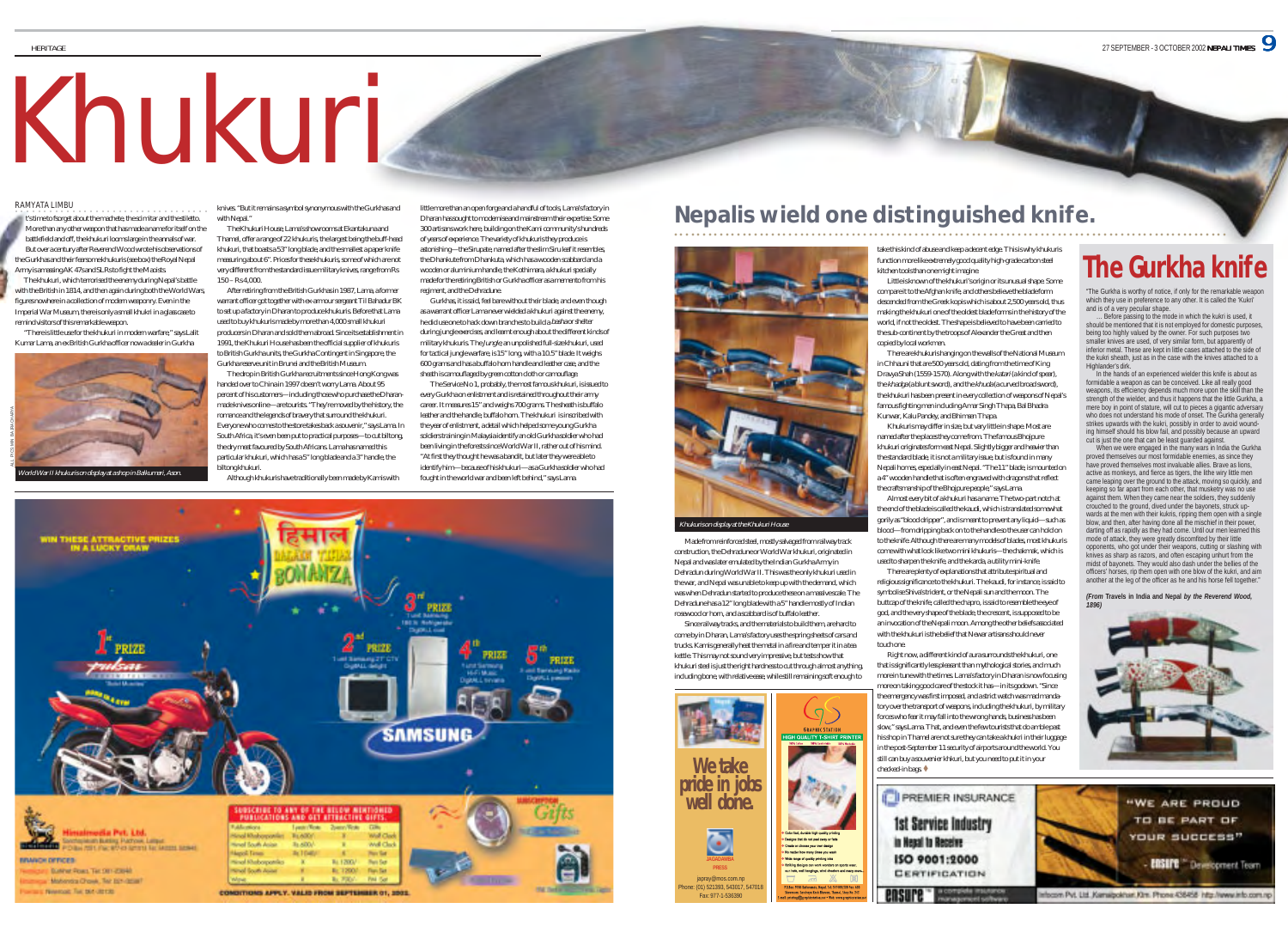# Khukuri

#### RAMYATA LIMBU ○○○○○○○○○○○○○○○○○○○ ○○○○○○○○○○○○○○○

**HERITAGE** 

t's time to fsorget about the machete, the scimitar and the stiletto. More than any other weapon that has made a name for itself on the battlefield and off, the khukuri looms large in the annals of war. But over a century after Reverend Wood wrote his observations of the Gurkhas and their fearsome khukuris (see box) the Royal Nepal Army is amassing AK 47s and SLRs to fight the Maoists.

 The khukuri, which terrorised the enemy during Nepal's battle with the British in 1814, and then again during both the World Wars, figures nowhere in a collection of modern weaponry. Even in the Imperial War Museum, there is only a small khukri in a glass case to remind visitors of this remarkable weapon.

 "There is little use for the khukuri in modern warfare," says Lalit Kumar Lama, an ex British Gurkha officer now a dealer in Gurkha



knives. "But it remains a symbol synonymous with the Gurkhas and with Nepal."

The Khukuri House, Lama's showrooms at Ekantakuna and Thamel, offer a range of 22 khukuris, the largest being the buff-head khukuri, that boasts a 53" long blade, and the smallest a paper knife measuring about 6". Prices for these khukuris, some of which are not very different from the standard issue military knives, range from Rs 150 – Rs 4,000.

After retiring from the British Gurkhas in 1987, Lama, a former warrant officer got together with ex-armour sergeant Til Bahadur BK to set up a factory in Dharan to produce khukuris. Before that Lama used to buy khukuris made by more than 4,000 small khukuri producers in Dharan and sold them abroad. Since its establishment in 1991, the Khukuri House has been the official supplier of khukuris to British Gurkha units, the Gurkha Contingent in Singapore, the Gurkha reserve unit in Brunei and the British Museum.

The drop in British Gurkha recruitments since Hong Kong was handed over to China in 1997 doesn't worry Lama. About 95 percent of his customers—including those who purchase the Dharanmade knives online—are tourists. "They're moved by the history, the romance and the legends of bravery that surround the khukuri. Everyone who comes to the store takes back a souvenir," says Lama. In South Africa, it's even been put to practical purposes—to cut biltong, the dry meat favoured by South Africans. Lama has named this particular khukuri, which has a 5" long blade and a 3" handle, the biltong khukuri.

Although khukuris have traditionally been made by Kamis with

little more than an open forge and a handful of tools, Lama's factory in Dharan has sought to modernise and mainstream their expertise. Some 300 artisans work here, building on the Kami community's hundreds of years of experience. The variety of khukuris they produce is astonishing—the Sirupate, named after the slim Siru leaf it resembles, the Dhankute from Dhankuta, which has a wooden scabbard and a wooden or aluminium handle, the Kothimara, a khukuri specially made for the retiring British or Gurkha officer as a memento from his regiment, and the Dehradune.

Gurkhas, it is said, feel bare without their blade, and even though as a warrant officer Lama never wielded a khukuri against the enemy, he did use one to hack down branches to build a basha or shelter during jungle exercises, and learnt enough about the different kinds of military khukuris. The Jungle, an unpolished full-size khukuri, used for tactical jungle warfare, is 15" long, with a 10.5" blade. It weighs 600 grams and has a buffalo horn handle and leather case, and the sheath is camouflaged by green cotton cloth or camouflage.

The Service No 1, probably, the most famous khukuri, is issued to every Gurkha on enlistment and is retained throughout their army career. It measures 15" and weighs 700 grams. The sheath is buffalo leather and the handle, buffalo horn. The khukuri is inscribed with the year of enlistment, a detail which helped some young Gurkha soldiers training in Malaysia identify an old Gurkha soldier who had been living in the forests since World War II, rather out of his mind. "At first they thought he was a bandit, but later they were able to identify him—because of his khukuri—as a Gurkha soldier who had fought in the world war and been left behind," says Lama.



# **Nepalis wield one distinguished knife.**

Made from reinforced steel, mostly salvaged from railway track construction, the Dehradune or World War khukuri, originated in Nepal and was later emulated by the Indian Gurkha Army in Dehradun during World War II. This was the only khukuri used in the war, and Nepal was unable to keep up with the demand, which was when Dehradun started to produce these on a massive scale. The Dehradune has a 12" long blade with a 5" handle mostly of Indian rosewood or horn, and a scabbard is of buffalo leather. Since railway tracks, and the materials to build them, are hard to come by in Dharan, Lama's factory uses the spring sheets of cars and trucks. Kamis generally heat the metal in a fire and temper it in a tea kettle. This may not sound very impressive, but tests show that khukuri steel is just the right hardness to cut through almost anything, including bone, with relative ease, while still remaining soft enough to

Khukuris on display at the Khukuri House

**We take pride in jobs well done.**

japray@mos.com.np hone: (01) 521393, 543017, 54701 Fax: 977-1-536390

 $\Box$  <br>  $\Box$  <br>  $\Box$  <br>  $\Box$ 

۰

take this kind of abuse and keep a decent edge. This is why khukuris function more like extremely good quality high-grade carbon steel kitchen tools than one might imagine.

○○○○○○○○○○○○○○○○○○○○○○○○○○○○○○○○○○○○○○○○○○○○○○○○○○○○○○○○○○○○○○○○○○○○○○○○ ○○○○○○○○○○○○○○○○○○○○○○○○○

Little is known of the khukuri's origin or its unusual shape. Some compare it to the Afghan knife, and others believe the blade form descended from the Greek kopis which is about 2,500 years old, thus making the khukuri one of the oldest blade forms in the history of the world, if not the oldest. The shape is believed to have been carried to the sub-continent by the troops of Alexander the Great and then copied by local workmen.

There are khukuris hanging on the walls of the National Museum in Chhauni that are 500 years old, dating from the time of King Dravya Shah (1559-1570). Along with the katari (a kind of spear), the khadga (a blunt sword), and the khuda (a curved broad sword), the khukuri has been present in every collection of weapons of Nepal's famous fighting men including Amar Singh Thapa, Bal Bhadra Kunwar, Kalu Pandey, and Bhimsen Thapa.

Khukuris may differ in size, but vary little in shape. Most are named after the places they come from. The famous Bhojpure khukuri originates form east Nepal. Slightly bigger and heavier than the standard blade, it is not a military issue, but is found in many Nepali homes, especially in east Nepal. "The 11" blade, is mounted on a 4" wooden handle that is often engraved with dragons that reflect the craftsmanship of the Bhojpure people," says Lama.

Almost every bit of a khukuri has a name. The two-part notch at the end of the blade is called the kaudi, which is translated somewhat gorily as "blood dripper", and is meant to prevent any liquid—such as blood—from dripping back on to the handle so the user can hold on to the knife. Although there are many models of blades, most khukuris come with what look like two mini khukuris—the chakmak, which is used to sharpen the knife, and the karda, a utility mini-knife.

There are plenty of explanations that attribute spiritual and religious significance to the khukuri. The kaudi, for instance, is said to symbolise Shiva's trident, or the Nepali sun and the moon. The buttcap of the knife, called the chapro, is said to resemble the eye of god, and the very shape of the blade, the crescent, is supposed to be an invocation of the Nepali moon. Among the other beliefs associated with the khukuri is the belief that Newar artisans should never touch one.

Right now, a different kind of aura surrounds the khukuri, one that is significantly less pleasant than mythological stories, and much more in tune with the times. Lama's factory in Dharan is now focusing more on taking good care of the stock it has—in its godown. "Since the emergency was first imposed, and a strict watch was mad mandatory over the transport of weapons, including the khukuri, by military forces who fear it may fall into the wrong hands, business has been slow," says Lama. That, and even the few tourists that do amble past his shop in Thamel are not sure they can take a khukri in their luggage in the post-September 11 security of airports around the world. You still can buy a souvenier khkuri, but you need to put it in your checked-in bags.

# **The Gurkha knife**

which they use in preference to any other. It is called the 'Kukri' and is of a very peculiar shape.

should be mentioned that it is not employed for domestic purposes, being too highly valued by the owner. For such purposes two smaller knives are used, of very similar form, but apparently of inferior metal. These are kept in little cases attached to the side of the kukri sheath, just as in the case with the knives attached to a Highlander's dirk.

have proved themselves most invaluable allies. Brave as lions, active as monkeys, and fierce as tigers, the lithe wiry little men came leaping over the ground to the attack, moving so quickly, and keeping so far apart from each other, that musketry was no use against them. When they came near the soldiers, they suddenly crouched to the ground, dived under the bayonets, struck upwards at the men with their kukris, ripping them open with a single blow, and then, after having done all the mischief in their power, darting off as rapidly as they had come. Until our men learned this mode of attack, they were greatly discomfited by their little opponents, who got under their weapons, cutting or slashing with knives as sharp as razors, and often escaping unhurt from the midst of bayonets. They would also dash under the bellies of the another at the leg of the officer as he and his horse fell together."

#### *(From* **Travels in India and Nepal** *by the Reverend Wood,*





# "The Gurkha is worthy of notice, if only for the remarkable weapor

… Before passing to the mode in which the kukri is used, it

In the hands of an experienced wielder this knife is about as

formidable a weapon as can be conceived. Like all really good weapons, its efficiency depends much more upon the skill than the strength of the wielder, and thus it happens that the little Gurkha, a mere boy in point of stature, will cut to pieces a gigantic adversary who does not understand his mode of onset. The Gurkha generall strikes upwards with the kukri, possibly in order to avoid wounding himself should his blow fail, and possibly because an upward cut is just the one that can be least guarded against. When we were engaged in the many wars in India the Gurkha proved themselves our most formidable enemies, as since they

officers' horses, rip them open with one blow of the kukri, and aim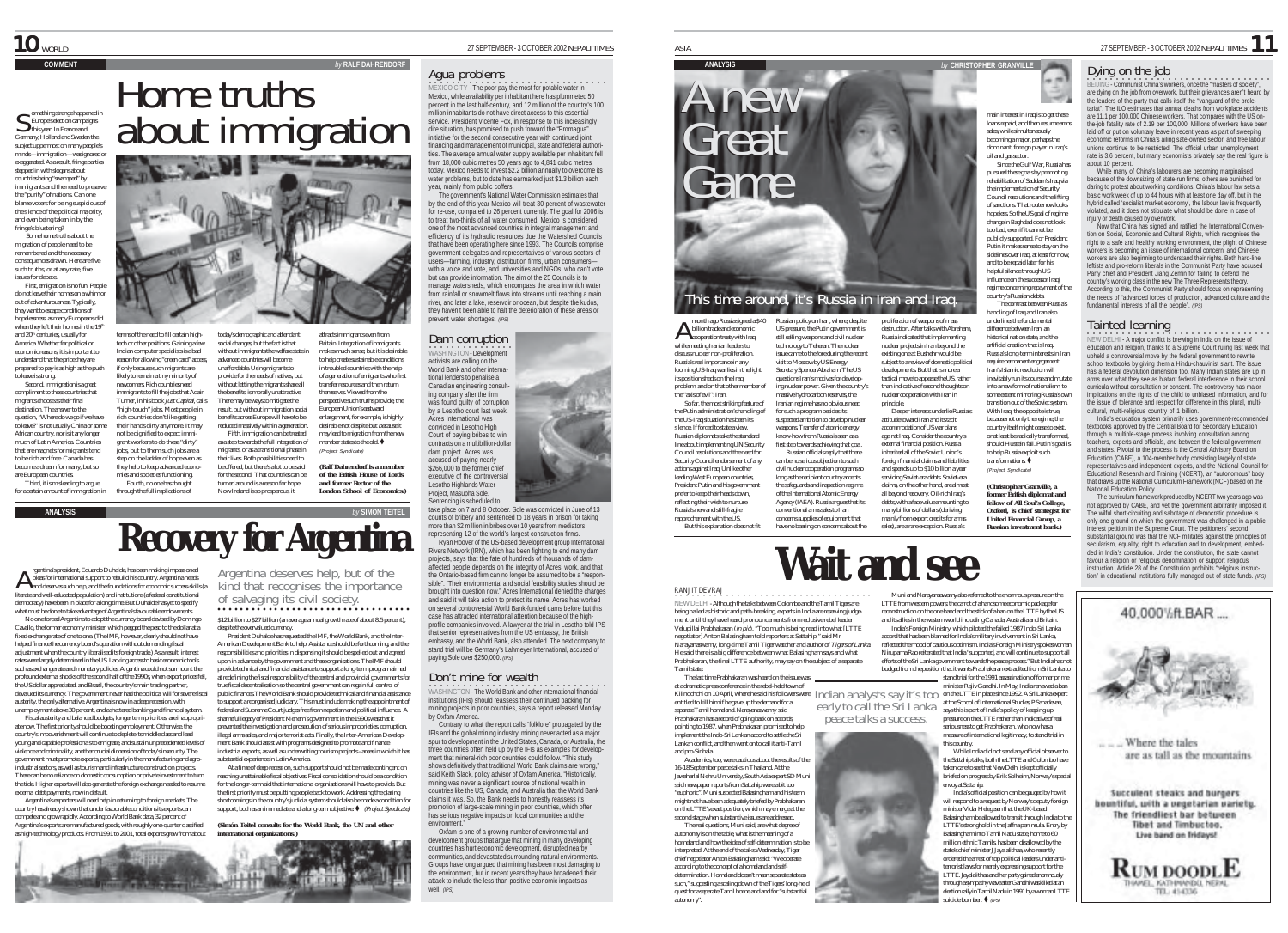omething strange happened in S emething strange happened<br>S Europe's election campaigns<br>this year. In France and Germany, Holland and Sweden the subject uppermost on many people's minds—immigration—was ignored or exaggerated. As a result, fringe parties stepped in with slogans about countries being "swamped" by immigrants and the need to preserve the "purity" of nations. Can one blame voters for being suspicious of the silence of the political majority, and even being taken in by the fringe's blustering? ge's blustering:<br>Some home truths about the

migration of people need to be remembered and the necessary consequences drawn. Here are five such truths, or at any rate, five issues for debate. First, emigration is no fun. People do not leave their homes on a whim or

out of adventurousness. Typically, they want to escape conditions of hopelessness, as many Europeans did when they left their homes in the 19th and 20<sup>th</sup> centuries, usually for America. Whether for political or

economic reasons, it is important to understand that the price they are prepared to pay is as high as the push to leave is strong. Second, immigration is a great

compliment to those countries that migrants choose as their final destination. The answer to the question, "Where do we go if we have to leave?" is not usually China or some African country, nor is it any longer much of Latin America. Countries that are magnets for migrants tend to be rich and free. Canada has become a dream for many, but so

are European countries. Third, it is misleading to argue for a certain amount of immigration in

 $\bigwedge$  rgentina's president, Eduardo Duhalde, has been making impassioned<br>| pleas for international support to rebuild his country. Argentina needs<br>| and diserves such help, and the foundations for economic success-skills democracy) have been in place for a long time. But Duhalde has yet to specify what must be done to take advantage of Argentina's favourable endowments.

terms of the need to fill certain hightech or other positions. Gaining a few Indian computer specialists is a bad reason for allowing "green card" access, if only because such migrants are likely to remain a tiny minority of newcomers. Rich countries need immigrants to fill the jobs that Adair Turner, in his book Just Capital, calls "high-touch" jobs. Most people in rich countries don't like getting their hands dirty anymore. It may not be dignified to expect immigrant workers to do these "dirty jobs, but to them such jobs are a step on the ladder of hope even as they help to keep advanced economies and societies functioning. Fourth, no one has thought through the full implications of

No one forced Argentina to adopt the currency board devised by Domingo Cavallo, the former economy minister, which pegged the peso to the dollar at a fixed exchange rate of one to one. (The IMF, however, clearly should not have helped finance the currency board's operation without demanding fiscal adjustment when the country liberalised its foreign trade.) As a result, interest rates were largely determined in the US. Lacking access to basic economic tools such as exchange rate and monetary policies, Argentina could not surmount the profound external shocks of the second half of the 1990s, when export prices fell, the US dollar appreciated, and Brazil, the country's main trading partner, devalued its currency. The government never had the political will for severe fiscal

austerity, the only alternative. Argentina is now in a deep recession, with unemployment above 30 percent, and a shattered banking and financial system. Fiscal austerity and balanced budgets, longer term priorities, are inappropriate now. The first priority should be boosting employment. Otherwise, the country's impoverishment will continue to deplete its middle class and lead young and capable professionals to emigrate, and sustain unprecedented levels of violence and criminality, another crucial dimension of today's insecurity. The government must promote exports, particularly in the manufacturing and agroindustrial sectors, as well as tourism and infrastructure construction projects. There can be no reliance on domestic consumption or private investment to turn the tide. Higher exports will also generate the foreign exchange needed to resume

external debt payments, now in default. Argentina's exporters will need help in returning to foreign markets. The country has already shown that under favourable conditions its exports can compete and grow rapidly. According to World Bank data, 32 percent of Argentina's exports are manufactured goods, with roughly one-quarter classified as high-technology products. From 1991 to 2001, total exports grew from about

**Recovery for Argentina** Argentina deserves help, but of the kind that recognises the importance of salvaging its civil society. ○○○○○○○○○○○○○○○○○○○○○○○○○○○○○ ○○○○○

\$12 billion to \$27 billion (an average annual growth rate of about 8.5 percent), despite the overvalued currency.

President Duhalde has requested the IMF, the World Bank, and the Inter-American Development Bank to help. Assistance should be forthcoming, and the responsibilities and priorities in dispensing it should be spelled out and agreed upon in advance by the government and these organisations. The IMF should provide technical and financial assistance to support a long-term program aimed at redefining the fiscal responsibility of the central and provincial governments for true fiscal decentralisation so the central government can regain full control of public finances.The World Bank should provide technical and financial assistance to support a reorganised judiciary. This must include making the appointment of federal and Supreme Court judges free from nepotism and political influence. A shameful legacy of President Menem's government in the 1990s was that it prevented the investigation and prosecution of serious improprieties, corruption, illegal arms sales, and major terrorist acts. Finally, the Inter-American Development Bank should assist with programs designed to promote and finance industrial exports, as well as underwriting tourism projects - areas in which it has

substantial experience in Latin America. At a time of deep recession, such support should not be made contingent on reaching unattainable fiscal objectives. Fiscal consolidation should be a condition for the longer-term aid that international organisations will have to provide. But the first priority must be putting people back to work. Addressing the glaring shortcomings in the country's judicial system should also be made a condition for support, both as an immediate and a long-term objective.  $\blacklozenge$  (Project Syndicate)

*(Simón Teitel consults for the World Bank, the UN and other international organizations.)*



Home truths

about immigration

today's demographic and attendant social changes, but the fact is that without immigrants the welfare state in advanced countries will become unaffordable. Using migrants to provide for the needs of natives, but without letting the migrants share all the benefits, is morally unattractive. There may be ways to mitigate the result, but without immigration social benefits across Europe will have to be reduced massively within a generation. Fifth, immigration can be treated. as a step towards the full integration of migrants, or as a transitional phase in their lives. Both possibilities need to be offered, but there's a lot to be said for the second. That countries can be turned around is a reason for hope. Now Ireland is so prosperous, it

 ${\bf 10}$  world  $^{\rm 27}$  September - 3 OCTOBER 2002 NEPALI TIMES

#### Agua problems

**COMMENT** *by* **RALF DAHRENDORF**

attracts immigrants even from

themselves. Viewed from the

European Union's eastward

member states to the old.  $\blacklozenge$ (Project Syndicate)

*and former Rector of the*

○○○○○○○○○○○○○○○○○○○○○○○○○○○○○○○ MEXICO CITY - The poor pay the most for potable water in Mexico, while availability per inhabitant here has plummeted 50 percent in the last half-century, and 12 million of the country's 100 million inhabitants do not have direct access to this essential service. President Vicente Fox, in response to this increasingly dire situation, has promised to push forward the "Promagua" initiative for the second consecutive year with continued joint financing and management of municipal, state and federal authorities. The average annual water supply available per inhabitant fell from 18,000 cubic metres 50 years ago to 4,841 cubic metres today. Mexico needs to invest \$2.2 billion annually to overcome its water problems, but to date has earmarked just \$1.3 billion each year, mainly from public coffers.

The government's National Water Commission estimates that by the end of this year Mexico will treat 30 percent of wastewater for re-use, compared to 26 percent currently. The goal for 2006 is to treat two-thirds of all water consumed. Mexico is considered one of the most advanced countries in integral management and efficiency of its hydraulic resources due the Watershed Councils that have been operating here since 1993. The Councils comprise government delegates and representatives of various sectors of users—farming, industry, distribution firms, urban consumers with a voice and vote, and universities and NGOs, who can't vote but can provide information. The aim of the 25 Councils is to manage watersheds, which encompass the area in which water from rainfall or snowmelt flows into streams until reaching a main river, and later a lake, reservoir or ocean, but despite the kudos, they haven't been able to halt the deterioration of these areas or prevent water shortages. *(IPS)*

Britain. Integration of immigrants makes much sense; but it is desirable to help create sustainable conditions in troubled countries with the help of a generation of emigrants who first transfer resources and then return perspective such truths provide, the enlargement, for example, is highly desirable not despite but because may lead to migration from the new *(Ralf Dahrendorf is a member of the British House of Lords London School of Economics.)* WASHINGTON - Development Dam corruption activists are calling on the World Bank and other international lenders to penalise a Canadian engineering consulting company after the firm was found quilty of corruption by a Lesotho court last week Acres International was convicted in Lesotho High Court of paying bribes to win contracts on a multibillion-doll dam project. Acres was accused of paying nearly \$266,000 to the former chief executive of the controversial **Lesotho Highlands Water** Project, Masupha Sole.

Sentencing is scheduled to

take place on 7 and 8 October. Sole was convicted in June of 13 counts of bribery and sentenced to 18 years in prison for taking more than \$2 million in bribes over 10 years from mediators

resenting 12 of the world's largest construction firms.<br>Devan Honver of the US-based development group International Ryan Hoover of the US-based development group International Rivers Network (IRN), which has been fighting to end many dam projects, says that the fate of hundreds of thousands of damaffected people depends on the integrity of Acres' work, and that the Ontario-based firm can no longer be assumed to be a "responsible". "Their environmental and social feasibility studies should be brought into question now." Acres International denied the charges and said it will take action to protect its name. Acres has worked on several controversial World Bank-funded dams before but this case has attracted international attention because of the highprofile companies involved. A lawyer at the trial in Lesotho told IPS that senior representatives from the US embassy, the British embassy, and the World Bank, also attended. The next company to stand trial will be Germany's Lahmeyer International, accused of paying Sole over \$250,000. *(IPS)*

### Don't mine for wealth

•<br>WASHINGTON - The World Bank and other international financial institutions (IFIs) should reassess their continued backing for mining projects in poor countries, says a report released Monday by Oxfam America.

Contrary to what the report calls "folklore" propagated by the IFIs and the global mining industry, mining never acted as a major spur to development in the United States, Canada, or Australia, the three countries often held up by the IFIs as examples for development that mineral-rich poor countries could follow. "This study shows definitively that traditional World Bank claims are wrong said Keith Slack, policy advisor of Oxfam America. "Historically, mining was never a significant source of national wealth in countries like the US, Canada, and Australia that the World Bank claims it was. So, the Bank needs to honestly reassess its promotion of large-scale mining in poor countries, which often has serious negative impacts on local communities and the environment."

Oxfam is one of a growing number of environmental and development groups that argue that mining in many developing countries has hurt economic development, disrupted nearby communities, and devastated surrounding natural environments. Groups have long argued that mining has been most damaging to the environment, but in recent years they have broadened their attack to include the less-than-positive economic impacts as well. *(IPS)*



#### **BEIJING - Communist China's workers, once the "masters of society",** Dying on the job

are dying on the job from overwork, but their grievances aren't heard by the leaders of the party that calls itself the "vanguard of the prole-tariat". The ILO estimates that annual deaths from workplace accidents are 11.1 per 100,000 Chinese workers. That compares with the US on-the-job fatality rate of 2.19 per 100,000. Millions of workers have been laid off or put on voluntary leave in recent years as part of sweeping economic reforms in China's ailing sate-owned sector, and free labour unions continue to be restricted. The official urban unemployment rate is 3.6 percent, but many economists privately say the real figure is Since the Gulf War, Russia has

 $-10$ 

about 10 percent. While many of China's labourers are becoming marginalised because of the downsizing of state-run firms, others are punished for daring to protest about working conditions. China's labour law sets a basic work week of up to 44 hours with at least one day off, but in the hybrid called 'socialist market economy', the labour law is frequently violated, and it does not stipulate what should be done in case of injury or death caused by overwork.

Now that China has signed and ratified the International Convention on Social, Economic and Cultural Rights, which recognises the right to a safe and healthy working environment, the plight of Chinese workers is becoming an issue of international concern, and Chinese workers is becoming an issue or international concern, and crimese<br>workers are also beginning to understand their rights. Both hard-line leftists and pro-reform liberals in the Communist Party have accused Party chief and President Jiang Zemin for failing to defend the country's working class in the new The Three Represents theory. According to this, the Communist Party should focus on representing the needs of "advanced forces of production, advanced culture and the fundamental interests of all the people". *(IPS)*

The contrast between Russia's

transition out of the Soviet system. With Iraq, the opposite is true. because not only the regime, the country itself might cease to exist or at least be radically transformed, should Hussein fall. Putin's goal is to help Russia exploit such transformations.<sup>4</sup> (Project Syndicate) *(Christopher Granville, a former British diplomat and fellow of All Soul's College, Oxford, is chief strategist for United Financial Group, a Russian investment bank.)*

**Tainted learning**<br>NEW DELHI - A major conflict is brewing in India on the issue of education and religion, thanks to a Supreme Court ruling last week that upheld a controversial move by the federal government to rewrite school textbooks by giving them a Hindu-chauvinist slant. The issue has a federal devolution dimension too. Many Indian states are up in arms over what they see as blatant federal interference in their school curricula without consultation or consent. The controversy has major implications on the rights of the child to unbiased information, and for the issue of tolerance and respect for difference in this plural, multicultural, multi-religious country of 1 billion.

India's education system primarily uses government-recommended textbooks approved by the Central Board for Secondary Education through a multiple-stage process involving consultation among teachers, experts and officials, and between the federal government and states. Pivotal to the process is the Central Advisory Board on Education (CABE), a 104-member body consisting largely of state representatives and independent experts, and the National Council for Educational Research and Training (NCERT), an "autonomous" body that draws up the National Curriculum Framework (NCF) based on the National Education Policy.

The curriculum framework produced by NCERT two years ago was not approved by CABE, and yet the government arbitrarily imposed it. The wilful short-circuiting and sabotage of democratic procedure is only one ground on which the government was challenged in a public interest petition in the Supreme Court. The petitioners' second substantial ground was that the NCF militates against the principles of secularism, equality, right to education and to development, embedded in India's constitution. Under the constitution, the state cannot favour a religion or religious denomination or support religious instruction. Article 28 of the Constitution prohibits "religious instruction" in educational institutions fully managed out of state funds. *(IPS)*

40,000%ft.BAR.... efforts of the Sri Lanka government towards the peace process." But India has not Where the tales are as tall as the mountains. Succulent steaks and burgers bountiful, with a pegetarian pariety. The friendliest bar between **Dhet and Dmhurten** Live band on Tridays! **RUM DOODLE** GUNEL, KATHANANESLI, NE TEL: 454336

reflecting their wish to nurture Russia's new and still-fragile rapprochement with the US. But this explanation does not fit conventional arms sales to Iran concerns supplies of equipment that have no bearing on concerns about the ○○○○○○○○○○○○○○○○ ○○○○○○○○○○○○○○○○○○○ ment until they have heard pronouncements from reclusive rebel leader

Velupillai Prabhakaran (in pic). "Too much is being read into what [LTTE negotiator] Anton Balasingham told reporters at Sattahip," said Mr Narayanaswamy, long-time Tamil Tiger watcher and author of Tigers of Lanka. He said there is a big difference between what Balasingham says and what Prabhakaran, the final LTTE authority, may say on the subject of a separate Tamil state.

The last time Prabhakaran was heard on the issue was at a dramatic press conference in the rebel-held town of Kilinochchi on 10 April, where he said his followers were ||∩d||an\_anal\vsts\_sav\_lt's t∩∩\_on the LTTE in place since 1992. A Sri Lanka expert entitled to kill him if he gave up the demand for a separate Tamil homeland. Narayanaswamy said Prabhakaran has a record of going back on accords, pointing to 1987, when Prabhakaran promised to help early to call the Sri Lanka<br>peace talks a success.

implement the Indo-Sri Lankan accord to settle the Sri Lankan conflict, and then went on to call it anti-Tamil and pro-Sinhala. Academics, too, were cautious about the results of the

16-18 September peace talks in Thailand. At the Jawaharlal Nehru University, South Asia expert SD Muni said newspaper reports from Sattahip were a bit too "euphoric". Muni suspected Balasingham and his team might not have been adequately briefed by Prabhakaran on the LTTE's exact position, which may emerge at the second stage when substantive issues are addressed. The real questions, Muni said, are what degree of

autonomy is on the table, what is the meaning of a homeland and how the idea of self-determination is to be interpreted. At the end of the talks Wednesday, Tiger chief negotiator Anton Balasingham said: "We operate according to the concept of a homeland and selfdetermination. Homeland doesn't mean separate state as such," suggesting a scaling down of the Tigers' long-held quest for a separate Tamil homeland and for "substantial autonomy".

Iranian regime has no obvious need for such a program besides its suspected ambition to develop nuclear weapons. Transfer of atomic energy know-how from Russia is seen as a first step towards achieving that goal. Russian officials reply that there can be no serious objection to such civil nuclear cooperation programs so long as the recipient country accepts the safeguards and inspection regime of the International Atomic Energy Agency (IAEA). Russia argues that its principle. Deeper interests underlie Russia's attitude toward Iran and its tacit accommodation of US war plans against Iraq. Consider the country's external financial position. Russia inherited all of the Soviet Union's foreign financial claims and liabilities and spends up to \$10 billion a war servicing Soviet-era debts. Soviet-era claims, on the other hand, are almost all beyond recovery. Oil-rich Iraq's debts, with a face value amounting to



many billions of dollars (deriving mainly from export credits for arms

Muni and Narayansawamy also referred to the enormous pressure on the LTTE from western powers: the carrot of a handsome economic package for reconstruction on the one hand and the stick of a ban on the LTTE by the US and its allies in the western world including Canada, Australia and Britain. India's Foreign Ministry, which piloted the failed 1987 Indo-Sri Lanka accord that has been blamed for India's military involvement in Sri Lanka, reflected the mood of cautious optimism. India's Foreign Ministry spokeswoman Nirupama Rao reiterated that India "supported, and will continue to support all

budged from the position that it wants Prabhakaran extradited from Sri Lanka to stand trial for the 1991 assassination of former prime minister Rajiv Gandhi. In May, India renewed a ban at the School of International Studies, P Sahadevan, says this is part of India's policy of keeping up says this is part of mala sponey or keeping up seriousness to get Prabhakaran, who now has a measure of international legitimacy, to stand trial in

> While India did not send any official observer to the Sattahip talks, both the LTTE and Colombo have taken care to see that New Delhi is kept officially briefed on progress by Erik Solheim, Norway's special

India's official position can be gauged by how it will respond to a request by Norway's deputy foreign minister Vidar Helegesen that the UK-based Balasingham be allowed to transit through India to the LTTE's stronghold in the Jaffna peninsula. Entry by Balasingham into Tamil Nadu state, home to 60 million ethnic Tamils, has been disallowed by the state's chief minister J Jayalalithaa, who recently ordered the arrest of top political leaders under antiterrorist laws for merely expressing support for the LTTE. Jayalalithaa and her party gained enormously through a sympathy wave after Gandhi was killed at an election rally in Tamil Nadu in 1991 by a woman LTTE

this country.

envoy at Sattahip.

suicide bomber.  $\blacklozenge$  (IPS)

RANJIT DEVRAJ NEW DELHI - Although the talks between Colombo and the Tamil Tigers are being hailed as historic and path-breaking, experts in India are reserving judge-

So far, the most striking feature of the Putin administration's handling of the US-Iraq situation has been its silence. If forced to state a view, Russian diplomats take the standard line about implementing UN Security Council resolutions and the need for Security Council endorsement of any actions against Iraq. Unlike other leading West European countries, President Putin and his government prefer to keep their heads down,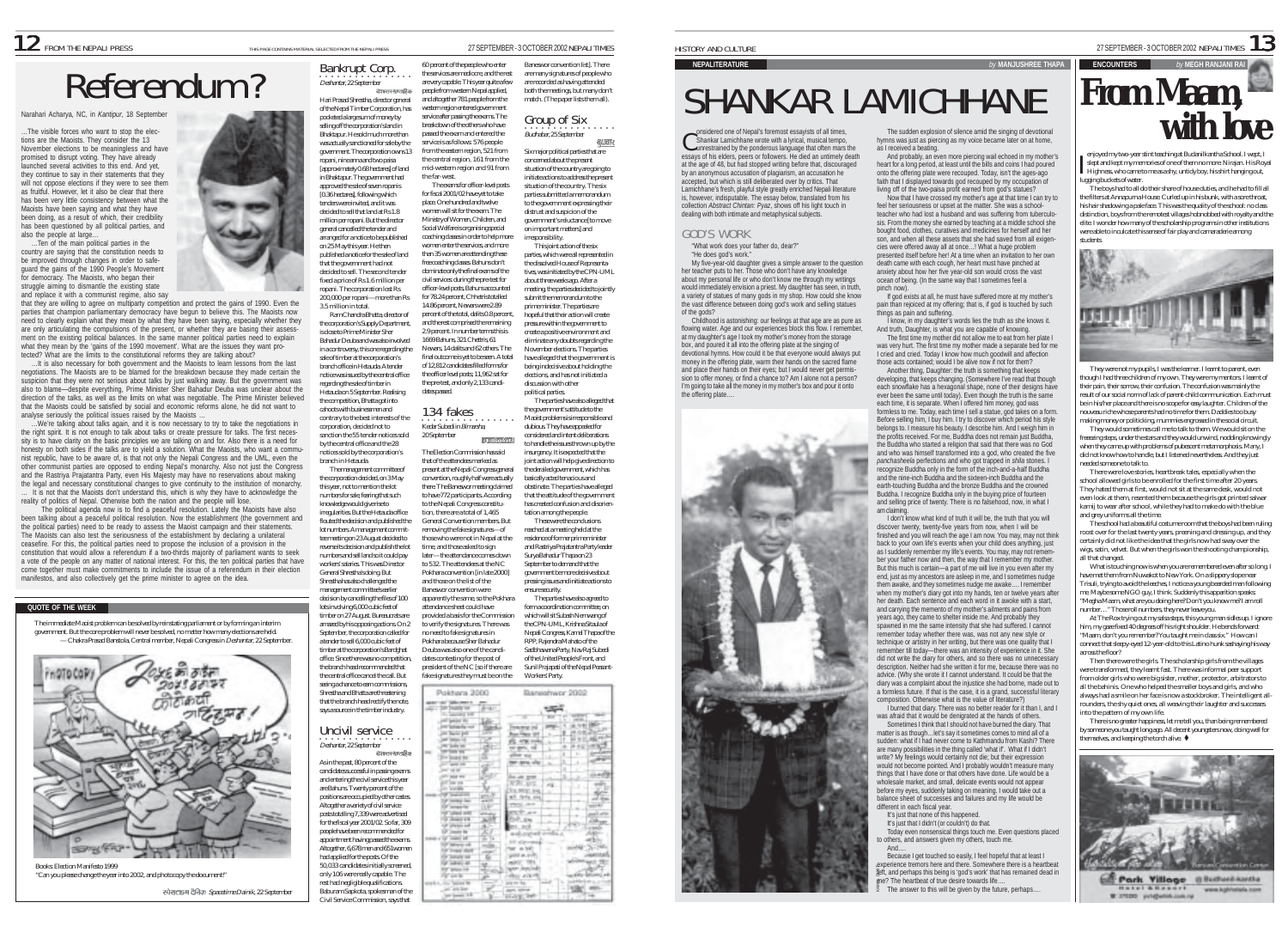# Referend the people who enter the services are mediocre, and the services are mediocre, and the rest are mediocre, and the rest are mediocre, and the rest are mediocre, and altogether are mediocre, and altogether are medio

Narahari Acharya, NC, in *Kantipur*, 18 September

…The visible forces who want to stop the elections are the Maoists. They consider the 13 November elections to be meaningless and have promised to disrupt voting. They have already launched several activities to this end. And yet, they continue to say in their statements that they will not oppose elections if they were to see them as fruitful. However, let it also be clear that there has been very little consistency between what the Maoists have been saying and what they have been doing, as a result of which, their credibility has been questioned by all political parties, and also the people at large…

…Ten of the main political parties in the country are saying that the constitution needs to be improved through changes in order to safeguard the gains of the 1990 People's Movement for democracy. The Maoists, who began their struggle aiming to dismantle the existing state and replace it with a communist regime, also say

that they are willing to agree on multiparty competition and protect the gains of 1990. Even the parties that champion parliamentary democracy have begun to believe this. The Maoists now need to clearly explain what they mean by what they have been saying, especially whether they are only articulating the compulsions of the present, or whether they are basing their assessment on the existing political balances. In the same manner political parties need to explain what they mean by the 'gains of the 1990 movement'. What are the issues they want protected? What are the limits to the constitutional reforms they are talking about?

…It is also necessary for both government and the Maoists to learn lessons from the last negotiations. The Maoists are to be blamed for the breakdown because they made certain the suspicion that they were not serious about talks by just walking away. But the government was also to blame—despite everything, Prime Minister Sher Bahadur Deuba was unclear about the direction of the talks, as well as the limits on what was negotiable. The Prime Minister believed that the Maoists could be satisfied by social and economic reforms alone, he did not want to analyse seriously the political issues raised by the Maoists …

. We're talking about talks again, and it is now necessary to try to take the negotiations in the right spirit. It is not enough to talk about talks or create pressure for talks. The first necessity is to have clarity on the basic principles we are talking on and for. Also there is a need for honesty on both sides if the talks are to yield a solution. What the Maoists, who want a communist republic, have to be aware of, is that not only the Nepali Congress and the UML, even the other communist parties are opposed to ending Nepal's monarchy. Also not just the Congress and the Rastriya Prajatantra Party, even His Majesty may have no reservations about making the legal and necessary constitutional changes to give continuity to the institution of monarchy. It is not that the Maoists don't understand this, which is why they have to acknowledge the reality of politics of Nepal. Otherwise both the nation and the people will lose.

The political agenda now is to find a peaceful resolution. Lately the Maoists have also been talking about a peaceful political resolution. Now the establishment (the government and the political parties) need to be ready to assess the Maoist campaign and their statements. The Maoists can also test the seriousness of the establishment by declaring a unilateral ceasefire. For this, the political parties need to propose the inclusion of a provision in the constitution that would allow a referendum if a two-thirds majority of parliament wants to seek a vote of the people on any matter of national interest. For this, the ten political parties that have come together must make commitments to include the issue of a referendum in their election manifestos, and also collectively get the prime minister to agree on the idea.

#### **QUOTE OF THE WEEK**

The immediate Maoist problem can be solved by reinstating parliament or by forming an interim government. But the core problem will never be solved, no matter how many elections are held. — Chakra Prasad Banstola, Central member, Nepali Congress in Deshantar, 22 September.



Books: Election Manifesto 1999 "Can you please change the year into 2002, and photocopy the document!"

स्पेसलाइस दैनिक Spacetime Dainik, 22 September

○○○○○○○○○○○○○○○○ Deshantar, 22 September Bankrupt Corp.

Hari Prasad Shrestha, director general of the Nepal Timber Corporation, has pocketed a large sum of money by selling off the corporation's land in Bhaktapur. He sold much more than was actually sanctioned for sale by the government. The corporation owns 13 ropani, nine anna and two paisa [approximately 0.68 hectares] of land in Bhaktapur. The government had western region entered government service after passing the exams. The breakdown of the others who have passed the exam and entered the service is as follows: 576 people the far-west.

approved the sale of seven ropanis [0.36 hectares], following which tenders were invited, and it was decided to sell that land at Rs 1.8 million per ropani. But the director general cancelled the tender and .<br>arranged for a notice to be published. on 25 May this year. He then published a notice for the sale of land that the government had not decided to sell. The second tender fixed a price of Rs 1.6 million per ropani. The corporation lost Rs 200,000 per ropani—more than Rs 3.5 million in total. Ram Chandra Bhatta, director of place. One hundred and twelve women enter the services, and more than 35 women are attending these free coaching classes. Bahuns don't dominate only the final exams of the civil services: during the pre-test for officer-level posts, Bahuns accounted for 78.24 percent, Chhetris totalled 14.86 percent, Newars were 2.89

the corporation's Supply Department, is close to Prime Minister Sher Bahadur Deuba and was also involved in a controversy, this one regarding the sale of timber at the corporation's branch office in Hetauda. A tender notice was issued by the central office regarding the sale of timber in Hetauda on 5 September. Realising the competition, Bhatta got into percent of the total, dalits 0.8 percent and the rest comprised the remaining 2.9 percent. In number terms this is 1669 Bahuns, 321 Chettris, 61 Newars, 14 dalits and 62 others. The

cahoots with businessmen and contrary to the best interests of the corporation, decided not to sanction the 55 tender notices sold by the central office and the 28 notices sold by the corporation's branch in Hetauda.

The management committee of the corporation decided, on 3 May this year, not to mention the lot numbers for sale, fearing that such knowledge would give rise to irregularities. But the Hetauda office flouted the decision and published the lot numbers. A management committee meeting on 23 August decided to reverse its decision and publish the lot numbers and sell land so it could pay workers' salaries. This was Director General Shrestha's doing. But Shrestha has also challenged the management committee's earlier decision by cancelling the files of 100 lots involving 6,000 cubic feet of timber on 27 August. Bureaucrats are amazed by his opposing actions. On 2 September, the corporation called for

a tender to sell 6,000 cubic feet of timber at the corporation's Bardghat office. Since there was no competition, the branch head recommended that the central office cancel the call. But seeing a chance to earn commissions, Shrestha and Bhatta are threatening that the branch head rectify the note, says a source in the timber industry.

### ○○○○○○○○○○○○○○○○ Deshantar, 22 September Uncivil service As in the past, 80 percent of the candidates successful in passing exams

and entering the civil service this year and entering the civiliser was this yea<br>are Bahuns. Twenty percent of the positions are occupied by other castes. Altogether a variety of civil service posts totalling 7,339 were advertised for the fiscal year 2001/02. So far, 309 people have been recommended for appointment having passed the exams. Altogether, 6,678 men and 651women had applied for the posts. Of the 50,033 candidates initially screened, only 106 were really capable. The rest had negligible qualifications. Baburam Sapkota, spokesman of the

Baneswor convention list]. There are many signatures of people who are recorded as having attended both the meetings, but many don't match. (The paper lists them all).

Group of Six .<br>Budhabar, 25 September ब्धवार

from the eastern region, 521 from the central region, 161 from the mid-western region and 91 from The exams for officer-level posts for fiscal 2001/02 have yet to take women will sit for the exam. The Ministry of Women, Children, and Social Welfare is organising special coaching classes in order to help more Six major political parties that are concerned about the present situation of the country are going to initiate actions to address the present situation of the country. The six parties submitted a memorandum to the government expressing their distrust and suspicion of the government's reluctance [to move on important matters] and irresponsibility.

 $\frac{1}{\sqrt{2}}$  and  $\frac{1}{\sqrt{2}}$  action of the six parties, which were all represented in the dissolved House of Representathe upscripting control to the CPN-UML about three weeks ago. After a meeting, the parties decided to jointly submit the memorandum to the prime minister. The parties are hopeful that their action will create pressure within the government to create a positive environment and eliminate any doubts regarding the November elections. The parties have alleged that the government is being indecisive about holding the elections, and has not initiated a discussion with other

political parties. The parties have also alleged that the government's attitude to the Maoist problems is irresponsible and dubious. They have appealed for considered and intent deliberations **RECEIVE RANK** to handle the issues thrown up by the insurgency. It is expected that the joint action will help give direction to the derailed government, which has basically acted tenacious and obstinate. The parties have alleged there. The Baneswor meeting claimed to have 772 participants. According that the attitude of the government to the Nepali Congress constituhas created confusion and disoriention, there are a total of 1,465 tation among the people. General Convention members. But

removing the fake signatures—of those who were not in Nepal at the time, and those asked to sign later—the attendance comes down to 532. The attendees at the NC Pokhara convention [in late 2000] These were the conclusions reached at a meeting held at the residence of former prime minister and Rastriya Prajatantra Party leader Surya Bahadur Thapa on 23 September to demand that the government be more decisive about pressing issues and initiate actions to ensure security. The parties have also agreed to form a coordination committee, on which will sit Subash Nemwang of

the CPN-LIML, Krishna Sitaula of Nepali Congress, Kamal Thapa of the RPP, Rajendra Mahato of the Sadbhawana Party, Nav Raj Subedi of the United People's Front, and Sunil Prajapati of the Nepal Peasant-Workers' Party.

| Shrestha and Bhatta are threatening                                                                                                                                                                         | Poktiana 2000 | lanestwor 2002 |
|-------------------------------------------------------------------------------------------------------------------------------------------------------------------------------------------------------------|---------------|----------------|
|                                                                                                                                                                                                             |               |                |
| that the branch head rectify the note,                                                                                                                                                                      |               |                |
| says a source in the timber industry.                                                                                                                                                                       |               |                |
| Uncivil service<br>Deshantar, 22 September<br>वेशन्तरसारतहिक<br>As in the past, 80 percent of the                                                                                                           |               |                |
| candidates successful in passing exams<br>and entering the civil service this year<br>are Bahuns. Twenty percent of the<br>positions are occupied by other castes.<br>Altogether a variety of civil service |               |                |
| posts totalling 7,339 were advertised<br>for the fiscal year 2001/02. So far, 309<br>people have been recommended for<br>appointment having passed the exams.<br>Altogether, 6,678 men and 651 women        |               |                |
| had applied for the posts. Of the<br>50,033 candidates initially screened,<br>only 106 were really capable. The<br>rest had negligible qualifications.<br>Baburam Sapkota, spokesman of the                 |               |                |
| Civil Service Commission, says that                                                                                                                                                                         |               |                |

### $NEPALITERATURE$

# SHANKAR LAMICHHANE

 $\bigcap$  onsidered one of Nepal's foremost essayists of all times. Shankar Lamichhane wrote with a lyrical, musical tempo,  $\bigcap$  onsidered one of Nepal's foremost essayists of all times,<br> $\bigcup$  shankar Lamichhane wrote with a lyrical, musical tempo,<br>unrestrained by the ponderous language that often mars the essays of his elders, peers or followers. He died an untimely death at the age of 48, but had stopped writing before that, discouraged by an anonymous accusation of plagiarism, an accusation he accepted, but which is still deliberated over by critics. That Lamichhane's fresh, playful style greatly enriched Nepali literature<br>is however indicrustable. The essay below translated from his is, however, indisputable. The essay below, translated from his collection *Abstract Chintan: Pyaz*, shows off his light touch in dealing with both intimate and metaphysical subjects.

#### GOD'S WORK

"What work does your father do, dear?"

"He does god's work." My five-year-old daughter gives a simple answer to the question her teacher puts to her. Those who don't have any knowledge about my personal life or who don't know me through my writings would immediately envision a priest. My daughter has seen, in truth, would immediately envision a priest, wiy daughter has seen, in truin,<br>a variety of statues of many gods in my shop. How could she know the vast difference between doing god's work and selling statues of the gods?

Childhood is astonishing: our feelings at that age are as pure as flowing water. Age and our experiences block this flow. I remember, at my daughter's age I took my mother's money from the storage box, and poured it all into the offering plate at the singing of devotional hymns. How could it be that everyone would always put money in the offering plate, warm their hands on the sacred flame and place their hands on their eyes; but I would never get permission to offer money, or find a chance to? Am I alone not a person? I'm going to take all the money in my mother's box and pour it onto



The sudden explosion of silence amid the singing of devotional hymns was just as piercing as my voice became later on at home, as I received a beating.

And probably, an even more piercing wail echoed in my mother's heart for a long period, at least until the bills and coins I had poured onto the offering plate were recouped. Today, isn't the ages-ago faith that I displayed towards god recouped by my occupation of living off of the two-paisa profit earned from god's statues? Now that I have crossed my mother's age at that time I can try to

feel her seriousness or upset at the matter. She was a schoolteacher who had lost a husband and was suffering from tuberculosis. From the money she earned by teaching at a middle school she bought food, clothes, curatives and medicines for herself and her son, and when all these assets that she had saved from all exigencies were offered away all at once…! What a huge problem presented itself before her! At a time when an invitation to her own death came with each cough, her heart must have pinched at anxiety about how her five year-old son would cross the vast ocean of being. (In the same way that I sometimes feel a

pinch now). If god exists at all, he must have suffered more at my mother's pain than rejoiced at my offering; that is, if god is touched by such things as pain and suffering.

I know, in my daughter's words lies the truth as she knows it. And truth, Daughter, is what you are capable of knowing. The first time my mother did not allow me to eat from her plate I

was very hurt. The first time my mother made a separate bed for me I cried and cried. Today I know how much goodwill and affection those acts contained; would I be alive now if not for them? Another thing, Daughter: the truth is something that keeps developing, that keeps changing. (Somewhere I've read that though

each snowflake has a hexagonal shape, none of their designs have each showlake has a hexagonal shape, hone or their designs have ever been the same until today). Even though the truth is the same each time, it is separate. When I offered him money, god was formless to me. Today, each time I sell a statue, god takes on a form. Before selling him, I buy him. I try to discover which period his style belongs to. I measure his beauty. I describe him. And I weigh him in the profits received. For me, Buddha does not remain just Buddha, the Buddha who started a religion that said that there was no God and who was himself transformed into a god, who created the five *panchasheela* perfections and who got trapped in *shila* stones. I recognize Buddha only in the form of the inch-and-a-half Buddha and the nine-inch Buddha and the sixteen-inch Buddha and the earth-touching Buddha and the bronze Buddha and the crowned Buddha. I recognize Buddha only in the buying price of fourteen and selling price of twenty. There is no falsehood, now, in what I am claiming.

I don't know what kind of truth it will be, the truth that you will discover twenty, twenty-five years from now, when I will be finished and you will reach the age I am now. You may, may not think back to your own life's events when your child does anything, just as I suddenly remember my life's events. You may, may not remember your father now and then, the way that I remember my mother But this much is certain—a part of me will live in you even after my end, just as my ancestors are asleep in me, and I sometimes nudgi them awake, and they sometimes nudge me awake…. I remember when my mother's diary got into my hands, ten or twelve years after her death. Each sentence and each word in it awoke with a start, and carrying the memento of my mother's ailments and pains from years ago, they came to shelter inside me. And probably they spawned in me the same intensity that she had suffered. I cannot remember today whether there was, was not any new style or technique or artistry in her writing, but there was one quality that I remember till today—there was an intensity of experience in it. She did not write the diary for others, and so there was no unnecessary description. Neither had she written it for me, because there was no advice. (Why she wrote it I cannot understand. It could be that the diary was a complaint about the injustice she had borne, made out to a formless future. If that is the case, it is a grand, successful literary composition. Otherwise what is the value of literature?)

I burned that diary. There was no better reader for it than I, and I

was afraid that it would be denigrated at the hands of others. Sometimes I think that I should not have burned the diary. That matter is as though…let's say it sometimes comes to mind all of a sudden: what if I had never come to Kathmandu from Kashi? There are many possibilities in the thing called 'what if'. What if I didn't write? My feelings would certainly not die; but their expression would not become pointed. And I probably wouldn't measure many things that I have done or that others have done. Life would be a wholesale market, and small, delicate events would not appear before my eyes, suddenly taking on meaning. I would take out a balance sheet of successes and failures and my life would be different in each fiscal year.

It's just that none of this happened.

It's just that I didn't (or couldn't) do that. Today even nonsensical things touch me. Even questions placed to others, and answers given my others, touch me. And….

Because I get touched so easily, I feel hopeful that at least I experience tremors here and there. Somewhere there is a heartbeat left, and perhaps this being is 'god's work' that has remained dead in me? The heartbeat of true desire towards life…. KAMA DIXI

The answer to this will be given by the future, perhaps...



enjoyed my two-year stint teaching at Budanilkantha School. I wept, I slept and kept my memories of one of them no more: Nirajan. His Royal Highness, who came to me as a shy, untidy boy, his shirt hanging out, lugging buckets of water.

The boys had to all do their share of house duties, and he had to fill all the filters at Annapurna House. Curled up in his bunk, with a sore throat, his hair shadowing a pale face. This was the quality of the school: no class distinction, boys from the remotest villages hobnobbed with royalty and the elite. I wonder how many of the scholarship programs in other institutions were able to inculcate this sense of fair play and camaraderie among students



They were not my pupils, I was the learner. I learnt to parent, even though I had three children of my own. They were my mentors. I learnt of their pain, their sorrow, their confusion. The confusion was mainly the result of our social norm of lack of parent-child communication. Each must be in his/her place and there is no scope for easy laughter. Children of the nouveau riche whose parents had no time for them. Daddies too busy making money or politicking, mummies engrossed in the social circuit.

They would sometimes call me to talk to them. We would sit on the freeezing steps, under the stars and they would unwind, nodding knowingly when they came up with problems of pubescent metamorphosis. Many, I did not know how to handle, but I listened nevertheless. And they just needed someone to talk to.

There were love stories, heartbreak tales, especially when the school allowed girls to be enrolled for the first time after 20 years. They hated them at first, would not sit at the same desk, would not even look at them, resented them because the girls got printed salwar kamij to wear after school, while they had to make do with the blue and grey uniforms all the time.

The school had a beautiful costume room that the boys had been ruling roost over for the last twenty years, preening and dressing up, and they certainly did not like the idea that the girls now had sway over the wigs, satin, velvet. But when the girls won the shooting championship, all that changed.

What is touching now is when you are remembered even after so long. I have met them from Nuwakot to New York. On a slippery slope near Trisuli, trying to avoid the leeches, I notice a young bearded man following me. Maybe some NGO guy, I think. Suddenly this apparition speaks: "Megha Maam, what are you doing here? Don't you know me? I am roll number…" Those roll numbers, they never leave you.

At The Rox trying out my salsa steps, this young man sidles up. I ignore him, my gaze fixed 40 degrees off his right shoulder. He bends forward: "Maam, don't you remember? You taught me in class six." How can I connect that sleepy-eyed 12-year-old to this Latino hunk sashaying his way across the floor?

Then there were the girls. The scholarship girls from the villages were transformed, they learnt fast. There was informal peer support from older girls who were big sister, mother, protector, arbitrators to all the bahinis. One who helped the smaller boys and girls, and who always had a smile on her face is now a stockbroker. The intelligent allrounders, the shy quiet ones, all weaving their laughter and successes into the pattern of my own life.

There is no greater happiness, let me tell you, than being remembered by someone you taught long ago. All decent youngsters now, doing well for  $h$ emselves, and keeping the torch alive.  $\blacklozenge$ 



**HAISI & RANGE** www.lughtweists.com W.27030 progletin com re



final outcome is yet to be seen. A total of 12,812 candidates filled forms for the officer level posts; 11,962 sat for the pre-test, and only 2,133 candidates passed. **·**<br>Kedar Subedi in *Bimarsha,* 134 fakes 20 September The Election Commission has said that of the attendees marked as present at the Nepali Congress general convention, roughly half were actually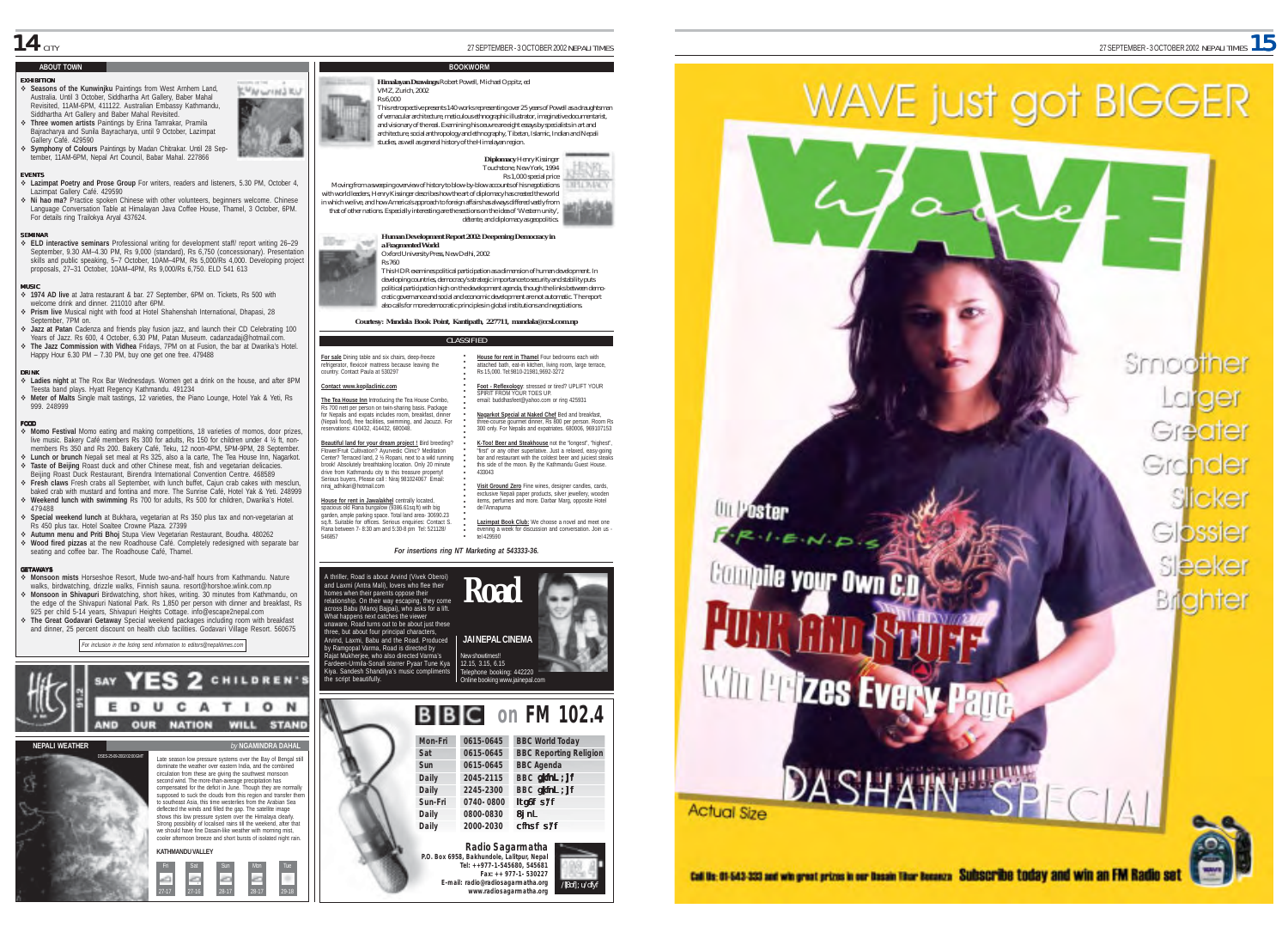## **ABOUT TOWN**

#### EXHIBITION

& **Seasons of the Kunwinjku** Paintings from West Arnhem Land, Australia. Until 3 October, Siddhartha Art Gallery, Baber Mahal Revisited, 11AM-6PM, 411122. Australian Embassy Kathmandu, Siddhartha Art Gallery and Baber Mahal Revisited.

& **Three women artists** Paintings by Erina Tamrakar, Pramila Bajracharya and Sunila Bayracharya, until 9 October, Lazimpat Gallery Café. 429590

& **Symphony of Colours** Paintings by Madan Chitrakar. Until 28 September, 11AM-6PM, Nepal Art Council, Babar Mahal. 227866

#### E VENTS

& **Lazimpat Poetry and Prose Group** For writers, readers and listeners, 5.30 PM, October 4, Lazimpat Gallery Café. 429590 & **Ni hao ma?** Practice spoken Chinese with other volunteers, beginners welcome. Chinese

Language Conversation Table at Himalayan Java Coffee House, Thamel, 3 October, 6PM. For details ring Trailokya Aryal 437624.

#### SEMINAR

& **ELD interactive seminars** Professional writing for development staff/ report writing 26–29 September, 9.30 AM–4.30 PM, Rs 9,000 (standard), Rs 6,750 (concessionary). Presentation skills and public speaking, 5–7 October, 10AM–4PM, Rs 5,000/Rs 4,000. Developing project proposals, 27–31 October, 10AM–4PM, Rs 9,000/Rs 6,750. ELD 541 613

#### MUSIC

& **1974 AD live** at Jatra restaurant & bar. 27 September, 6PM on. Tickets, Rs 500 with welcome drink and dinner. 211010 after 6PM

& **Prism live** Musical night with food at Hotel Shahenshah International, Dhapasi, 28 September, 7PM on.

& **Jazz at Patan** Cadenza and friends play fusion jazz, and launch their CD Celebrating 100 Years of Jazz. Rs 600, 4 October, 6.30 PM, Patan Museum. cadanzadaj@hotmail.com. & **The Jazz Commission with Vidhea** Fridays, 7PM on at Fusion, the bar at Dwarika's Hotel. Happy Hour 6.30 PM – 7.30 PM, buy one get one free. 479488

#### DRINK

& **Ladies night** at The Rox Bar Wednesdays. Women get a drink on the house, and after 8PM Teesta band plays. Hyatt Regency Kathmandu. 491234

& **Meter of Malts** Single malt tastings, 12 varieties, the Piano Lounge, Hotel Yak & Yeti, Rs 999. 248999

FOOD & **Momo Festival** Momo eating and making competitions, 18 varieties of momos, door prizes, live music. Bakery Café members Rs 300 for adults, Rs 150 for children under 4 % ft, nonmembers Rs 350 and Rs 200. Bakery Café, Teku, 12 noon-4PM, 5PM-9PM, 28 September. & **Lunch or brunch** Nepali set meal at Rs 325, also a la carte, The Tea House Inn, Nagarkot. & **Taste of Beijing** Roast duck and other Chinese meat, fish and vegetarian delicacies.

Beijing Roast Duck Restaurant, Birendra International Convention Centre. 468589 & **Fresh claws** Fresh crabs all September, with lunch buffet, Cajun crab cakes with mesclun, baked crab with mustard and fontina and more. The Sunrise Café, Hotel Yak & Yeti. 248999 & **Weekend lunch with swimming** Rs 700 for adults, Rs 500 for children, Dwarika's Hotel. 479488

& **Special weekend lunch** at Bukhara**,** vegetarian at Rs 350 plus tax and non-vegetarian at Rs 450 plus tax. Hotel Soaltee Crowne Plaza. 27399

& **Autumn menu and Priti Bhoj** Stupa View Vegetarian Restaurant, Boudha. 480262 & **Wood fired pizzas** at the new Roadhouse Café. Completely redesigned with separate bar seating and coffee bar. The Roadhouse Café, Thamel.

#### GETAWAYS

& **Monsoon mists** Horseshoe Resort, Mude two-and-half hours from Kathmandu. Nature walks, birdwatching, drizzle walks, Finnish sauna. resort@horshoe.wlink.com.np & **Monsoon in Shivapuri** Birdwatching, short hikes, writing. 30 minutes from Kathmandu, on the edge of the Shivapuri National Park. Rs 1,850 per person with dinner and breakfast, Rs 925 per child 5-14 years, Shivapuri Heights Cottage. info@escape2nepal.com & **The Great Godavari Getaway** Special weekend packages including room with breakfast and dinner, 25 percent discount on health club facilities. Godavari Village Resort. 560675

*For inclusion in the listing send information to editors@nepalitimes.com*

**KATHMANDU VALLEY**

Fri Sat Sun Mon Tue  $27-17$   $27-16$   $28-17$   $28-17$   $29-18$ 

Late season low pressure systems over the Bay of Bengal still dominate the weather over eastern India, and the combined circulation from these are giving the southwest monsoon second wind. The more-than-average precipitation has compensated for the deficit in June. Though they are normally supposed to suck the clouds from this region and transfer them to southeast Asia, this time westerlies from the Arabian Sea deflected the winds and filled the gap. The satellite image shows this low pressure system over the Himalaya clearly. Strong possibility of localised rains till the weekend, after that we should have fine Dasain-like weather with morning mist. cooler afternoon breeze and short bursts of isolated night rain.

UCATION

**OUR NATION WILL STAND** 

2 CHILDREN'S

DSES-25-09-2002 02:00 GMT

E

D **AND** 

**NEPALI WEATHER** 



100-a

**CMAN LINES RIL** 

**Contact www.kopilaclinic.com**

546857

for Nepalis and expats includes room, breakfast, dinner (Nepali food), free facilities, swimming, and Jacuzzi. For reservations: 410432, 414432, 680048. **Beautiful land for your dream project !** Bird breeding? Flower/Fruit Cultivation? Ayurvedic Clinic? Meditation Center? Terraced land, 2 ½ Ropani, next to a wild running brook! Absolutely breathtaking location. Only 20 minute drive from Kathmandu city to this treasure property**!** Serious buyers, Please call : Niraj 981024067 Email: niraj\_adhikari@hotmail.com

**House for rent in Jawalakhel** centrally located,<br>spacious old Rana bungalow (9386.61sq.ft) with big<br>garden, ample parking space. Total land area- 30690.23 sq.ft. Suitable for offices. Serious enquiries: Contact S. Rana between 7- 8:30 am and 5:30-8 pm Tel: 521128/



**BOOKWORM**



in which we live, and how America's approach to foreign affairs has always differed vastly from that of other nations. Especially interesting are the sections on the idea of 'Western unity', détente, and diplomacy as geopolitics.



This HDR examines political participation as a dimension of human development. In developing countries, democracy's strategic importance to security and stability puts political participation high on the development agenda, though the links between democratic governance and social and economic development are not automatic. The report also calls for more democratic principles in global institutions and negotiations.

*Courtesy: Mandala Book Point, Kantipath, 227711, mandala@ccsl.com.np*

**For sale** Dining table and six chairs, deep-freeze refrigerator, flexicoir mattress because leaving the country. Contact Paula at 530297 **House for rent in Thamel** Four bedrooms each with attached bath, eat-in kitchen, living room, large terrace, Rs 15,000. Tel:9810-21981,9692-3272

**The Tea House Inn** Introducing the Tea House Combo, Rs 700 nett per person on twin-sharing basis. Package **Foot - Reflexology**: stressed or tired? UPLIFT YOUR SPIRIT FROM YOUR TOES UP. email: buddhasfeet@yahoo.com or ring 425931

○○○○○○○○○○○○○○○○○○○ **Nagarkot Special at Naked Chef** Bed and breakfast, three-course gourmet dinner, Rs 800 per person. Room Rs 300 only. For Nepalis and expatriates. 680006, 969107153

○○○○○○○○○○○○○ **K-Too! Beer and Steakhouse** not the "longest", "highest", "first" or any other superlative. Just a relaxed, easy-going bar and restaurant with the coldest beer and juiciest steaks this side of the moon. By the Kathmandu Guest House. 433043

**Visit Ground Zero** Fine wines, designer candles, cards, exclusive Nepali paper products, silver jewellery, wooden items, perfumes and more. Darbar Marg, opposite Hotel de l'Annapurna

**Lazimpat Book Club:** We choose a novel and meet one<br>evening a week for discussion and conversation. Join us -<br>tel 429590

#### *For insertions ring NT Marketing at 543333-36.*

A thriller, Road is about Arvind (Vivek Oberoi) and Laxmi (Antra Mali), lovers who flee their omes when their parents oppose their relationship. On their way escaping, they come across Babu (Manoj Bajpai), who asks for a lift. What happens next catches the viewer unaware. Road turns out to be about just these three, but about four principal characters, Arvind, Laxmi, Babu and the Road. Produced by Ramgopal Varma, Road is directed by Rajat Mukherjee, who also directed Varma's Fardeen-Urmila-Sonali starrer Pyaar Tune Kya Kiya. Sandesh Shandilya's music compliments the script beautifully.





**Radio Sagarmatha P.O. Box 6958, Bakhundole, Lalitpur, Nepal Tel: ++977-1-545680, 545681 Fax: ++ 977-1- 530227 E-mail: radio@radiosagarmatha.org www.radiosagarmatha.org**

/Bof]; u/df



**Sun-Fri 0740- 0800** ltg6f s'/f **Daily 0800-0830** 8jnL **Daily 2000-2030** cfhsf s'/f





# *<u>VOUP Dwn</u>*

Smoother  $\cap$ Greate Grander icker Glossier sleeker riante



## Call Us: 01-543-233 and win great prizes in our Dasain Titor Busenza SURSCITIDE TODAY and Win an FM Rad



**WAVE just got BIGGER**